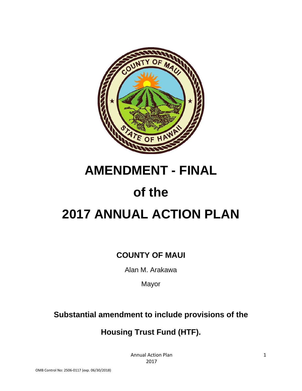

# **AMENDMENT - FINAL**

# **of the**

# **2017 ANNUAL ACTION PLAN**

# **COUNTY OF MAUI**

Alan M. Arakawa

Mayor

# **Substantial amendment to include provisions of the**

# **Housing Trust Fund (HTF).**

Annual Action Plan 2017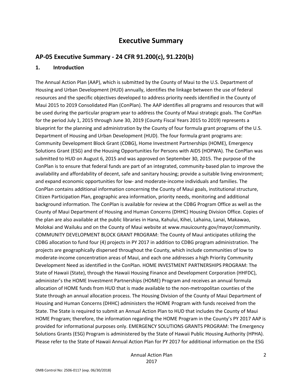# **Executive Summary**

# **AP‐05 Executive Summary ‐ 24 CFR 91.200(c), 91.220(b)**

#### **1. Introduction**

The Annual Action Plan (AAP), which is submitted by the County of Maui to the U.S. Department of Housing and Urban Development (HUD) annually, identifies the linkage between the use of federal resources and the specific objectives developed to address priority needs identified in the County of Maui 2015 to 2019 Consolidated Plan (ConPlan). The AAP identifies all programs and resources that will be used during the particular program year to address the County of Maui strategic goals. The ConPlan for the period July 1, 2015 through June 30, 2019 (County Fiscal Years 2015 to 2019) represents a blueprint for the planning and administration by the County of four formula grant programs of the U.S. Department of Housing and Urban Development (HUD). The four formula grant programs are: Community Development Block Grant (CDBG), Home Investment Partnerships (HOME), Emergency Solutions Grant (ESG) and the Housing Opportunities for Persons with AIDS (HOPWA). The ConPlan was submitted to HUD on August 6, 2015 and was approved on September 30, 2015. The purpose of the ConPlan is to ensure that federal funds are part of an integrated, community‐based plan to improve the availability and affordability of decent, safe and sanitary housing; provide a suitable living environment; and expand economic opportunities for low‐ and moderate‐income individuals and families. The ConPlan contains additional information concerning the County of Maui goals, institutional structure, Citizen Participation Plan, geographic area information, priority needs, monitoring and additional background information. The ConPlan is available for review at the CDBG Program Office as well as the County of Maui Department of Housing and Human Concerns (DHHC) Housing Division Office. Copies of the plan are also available at the public libraries in Hana, Kahului, Kihei, Lahaina, Lanai, Makawao, Molokai and Wailuku and on the County of Maui website at www.mauicounty.gov/mayor/community. COMMUNITY DEVELOPMENT BLOCK GRANT PROGRAM: The County of Maui anticipates utilizing the CDBG allocation to fund four (4) projects in PY 2017 in addition to CDBG program administration. The projects are geographically dispersed throughout the County, which include communities of low to moderate‐income concentration areas of Maui, and each one addresses a high Priority Community Development Need as identified in the ConPlan. HOME INVESTMENT PARTNERSHIPS PROGRAM: The State of Hawaii (State), through the Hawaii Housing Finance and Development Corporation (HHFDC), administer's the HOME Investment Partnerships (HOME) Program and receives an annual formula allocation of HOME funds from HUD that is made available to the non-metropolitan counties of the State through an annual allocation process. The Housing Division of the County of Maui Department of Housing and Human Concerns (DHHC) administers the HOME Program with funds received from the State. The State is required to submit an Annual Action Plan to HUD that includes the County of Maui HOME Program; therefore, the information regarding the HOME Program in the County's PY 2017 AAP is provided for informational purposes only. EMERGENCY SOLUTIONS GRANTS PROGRAM: The Emergency Solutions Grants (ESG) Program is administered by the State of Hawaii Public Housing Authority (HPHA). Please refer to the State of Hawaii Annual Action Plan for PY 2017 for additional information on the ESG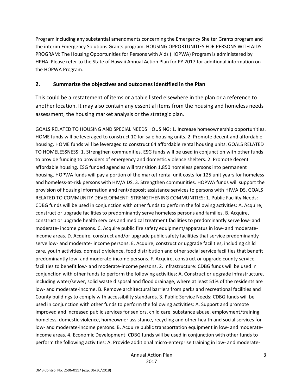Program including any substantial amendments concerning the Emergency Shelter Grants program and the interim Emergency Solutions Grants program. HOUSING OPPORTUNITIES FOR PERSONS WITH AIDS PROGRAM: The Housing Opportunities for Persons with Aids (HOPWA) Program is administered by HPHA. Please refer to the State of Hawaii Annual Action Plan for PY 2017 for additional information on the HOPWA Program.

# **2. Summarize the objectives and outcomes identified in the Plan**

This could be a restatement of items or a table listed elsewhere in the plan or a reference to another location. It may also contain any essential items from the housing and homeless needs assessment, the housing market analysis or the strategic plan.

GOALS RELATED TO HOUSING AND SPECIAL NEEDS HOUSING: 1. Increase homeownership opportunities. HOME funds will be leveraged to construct 10 for-sale housing units. 2. Promote decent and affordable housing. HOME funds will be leveraged to construct 64 affordable rental housing units. GOALS RELATED TO HOMELESSNESS: 1. Strengthen communities. ESG funds will be used in conjunction with other funds to provide funding to providers of emergency and domestic violence shelters. 2. Promote decent affordable housing. ESG funded agencies will transition 1,850 homeless persons into permanent housing. HOPWA funds will pay a portion of the market rental unit costs for 125 unit years for homeless and homeless-at-risk persons with HIV/AIDS. 3. Strengthen communities. HOPWA funds will support the provision of housing information and rent/deposit assistance services to persons with HIV/AIDS. GOALS RELATED TO COMMUNITY DEVELOPMENT: STRENGTHENING COMMUNITIES: 1. Public Facility Needs: CDBG funds will be used in conjunction with other funds to perform the following activities: A. Acquire, construct or upgrade facilities to predominantly serve homeless persons and families. B. Acquire, construct or upgrade health services and medical treatment facilities to predominantly serve low‐ and moderate- income persons. C. Acquire public fire safety equipment/apparatus in low- and moderateincome areas. D. Acquire, construct and/or upgrade public safety facilities that service predominantly serve low- and moderate- income persons. E. Acquire, construct or upgrade facilities, including child care, youth activities, domestic violence, food distribution and other social service facilities that benefit predominantly low‐ and moderate‐income persons. F. Acquire, construct or upgrade county service facilities to benefit low- and moderate-income persons. 2. Infrastructure: CDBG funds will be used in conjunction with other funds to perform the following activities: A. Construct or upgrade infrastructure, including water/sewer, solid waste disposal and flood drainage, where at least 51% of the residents are low‐ and moderate‐income. B. Remove architectural barriers from parks and recreational facilities and County buildings to comply with accessibility standards. 3. Public Service Needs: CDBG funds will be used in conjunction with other funds to perform the following activities: A. Support and promote improved and increased public services for seniors, child care, substance abuse, employment/training, homeless, domestic violence, homeowner assistance, recycling and other health and social services for low‐ and moderate‐income persons. B. Acquire public transportation equipment in low‐ and moderate‐ income areas. 4. Economic Development: CDBG funds will be used in conjunction with other funds to perform the following activities: A. Provide additional micro-enterprise training in low- and moderate–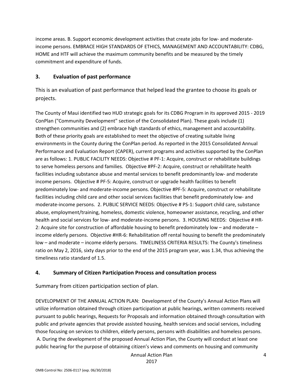income areas. B. Support economic development activities that create jobs for low- and moderateincome persons. EMBRACE HIGH STANDARDS OF ETHICS, MANAGEMENT AND ACCOUNTABILITY: CDBG, HOME and HTF will achieve the maximum community benefits and be measured by the timely commitment and expenditure of funds.

# **3. Evaluation of past performance**

This is an evaluation of past performance that helped lead the grantee to choose its goals or projects.

The County of Maui identified two HUD strategic goals for its CDBG Program in its approved 2015 ‐ 2019 ConPlan ("Community Development" section of the Consolidated Plan). These goals include (1) strengthen communities and (2) embrace high standards of ethics, management and accountability. Both of these priority goals are established to meet the objective of creating suitable living environments in the County during the ConPlan period. As reported in the 2015 Consolidated Annual Performance and Evaluation Report (CAPER), current programs and activities supported by the ConPlan are as follows: 1. PUBLIC FACILITY NEEDS: Objective # PF‐1: Acquire, construct or rehabilitate buildings to serve homeless persons and families. Objective #PF‐2: Acquire, construct or rehabilitate health facilities including substance abuse and mental services to benefit predominantly low- and moderate income persons. Objective # PF‐5: Acquire, construct or upgrade health facilities to benefit predominately low‐ and moderate‐income persons. Objective #PF‐5: Acquire, construct or rehabilitate facilities including child care and other social services facilities that benefit predominately low‐ and moderate‐income persons. 2. PUBLIC SERVICE NEEDS: Objective # PS‐1: Support child care, substance abuse, employment/training, homeless, domestic violence, homeowner assistance, recycling, and other health and social services for low- and moderate-income persons. 3. HOUSING NEEDS: Objective # HR-2: Acquire site for construction of affordable housing to benefit predominately low – and moderate – income elderly persons. Objective #HR‐6: Rehabilitation off rental housing to benefit the predominately low – and moderate – income elderly persons. TIMELINESS CRITERIA RESULTS: The County's timeliness ratio on May 2, 2016, sixty days prior to the end of the 2015 program year, was 1.34, thus achieving the timeliness ratio standard of 1.5.

# **4. Summary of Citizen Participation Process and consultation process**

Summary from citizen participation section of plan.

DEVELOPMENT OF THE ANNUAL ACTION PLAN: Development of the County's Annual Action Plans will utilize information obtained through citizen participation at public hearings, written comments received pursuant to public hearings, Requests for Proposals and information obtained through consultation with public and private agencies that provide assisted housing, health services and social services, including those focusing on services to children, elderly persons, persons with disabilities and homeless persons. A. During the development of the proposed Annual Action Plan, the County will conduct at least one public hearing for the purpose of obtaining citizen's views and comments on housing and community

Annual Action Plan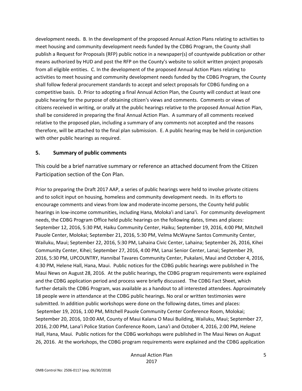development needs. B. In the development of the proposed Annual Action Plans relating to activities to meet housing and community development needs funded by the CDBG Program, the County shall publish a Request for Proposals (RFP) public notice in a newspaper(s) of countywide publication or other means authorized by HUD and post the RFP on the County's website to solicit written project proposals from all eligible entities. C. In the development of the proposed Annual Action Plans relating to activities to meet housing and community development needs funded by the CDBG Program, the County shall follow federal procurement standards to accept and select proposals for CDBG funding on a competitive basis. D. Prior to adopting a final Annual Action Plan, the County will conduct at least one public hearing for the purpose of obtaining citizen's views and comments. Comments or views of citizens received in writing, or orally at the public hearings relative to the proposed Annual Action Plan, shall be considered in preparing the final Annual Action Plan. A summary of all comments received relative to the proposed plan, including a summary of any comments not accepted and the reasons therefore, will be attached to the final plan submission. E. A public hearing may be held in conjunction with other public hearings as required.

## **5. Summary of public comments**

This could be a brief narrative summary or reference an attached document from the Citizen Participation section of the Con Plan.

Prior to preparing the Draft 2017 AAP, a series of public hearings were held to involve private citizens and to solicit input on housing, homeless and community development needs. In its efforts to encourage comments and views from low and moderate‐income persons, the County held public hearings in low-income communities, including Hana, Moloka'i and Lana'i. For community development needs, the CDBG Program Office held public hearings on the following dates, times and places: September 12, 2016, 5:30 PM, Haiku Community Center, Haiku; September 19, 2016, 4:00 PM, Mitchell Pauole Center, Molokai; September 21, 2016, 5:30 PM, Velma McWayne Santos Community Center, Wailuku, Maui; September 22, 2016, 5:30 PM, Lahaina Civic Center, Lahaina; September 26, 2016, Kihei Community Center, Kihei; September 27, 2016, 4:00 PM, Lanai Senior Center, Lanai; September 29, 2016, 5:30 PM, UPCOUNTRY, Hannibal Tavares Community Center, Pukalani, Maui and October 4, 2016, 4:30 PM, Helene Hall, Hana, Maui. Public notices for the CDBG public hearings were published in The Maui News on August 28, 2016. At the public hearings, the CDBG program requirements were explained and the CDBG application period and process were briefly discussed. The CDBG Fact Sheet, which further details the CDBG Program, was available as a handout to all interested attendees. Approximately 18 people were in attendance at the CDBG public hearings. No oral or written testimonies were submitted. In addition public workshops were done on the following dates, times and places: September 19, 2016, 1:00 PM, Mitchell Pauole Community Center Conference Room, Molokai; September 20, 2016, 10:00 AM, County of Maui Kalana O Maui Building, Wailuku, Maui; September 27, 2016, 2:00 PM, Lana'i Police Station Conference Room, Lana'i and October 4, 2016, 2:00 PM, Helene Hall, Hana, Maui. Public notices for the CDBG workshops were published in The Maui News on August 26, 2016. At the workshops, the CDBG program requirements were explained and the CDBG application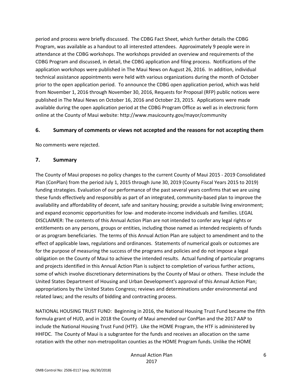period and process were briefly discussed. The CDBG Fact Sheet, which further details the CDBG Program, was available as a handout to all interested attendees. Approximately 9 people were in attendance at the CDBG workshops. The workshops provided an overview and requirements of the CDBG Program and discussed, in detail, the CDBG application and filing process. Notifications of the application workshops were published in The Maui News on August 26, 2016. In addition, individual technical assistance appointments were held with various organizations during the month of October prior to the open application period. To announce the CDBG open application period, which was held from November 1, 2016 through November 30, 2016, Requests for Proposal (RFP) public notices were published in The Maui News on October 16, 2016 and October 23, 2015. Applications were made available during the open application period at the CDBG Program Office as well as in electronic form online at the County of Maui website: http://www.mauicounty.gov/mayor/community

# **6. Summary of comments or views not accepted and the reasons for not accepting them**

No comments were rejected.

# **7. Summary**

The County of Maui proposes no policy changes to the current County of Maui 2015 ‐ 2019 Consolidated Plan (ConPlan) from the period July 1, 2015 through June 30, 2019 (County Fiscal Years 2015 to 2019) funding strategies. Evaluation of our performance of the past several years confirms that we are using these funds effectively and responsibly as part of an integrated, community-based plan to improve the availability and affordability of decent, safe and sanitary housing; provide a suitable living environment; and expand economic opportunities for low‐ and moderate‐income individuals and families. LEGAL DISCLAIMER: The contents of this Annual Action Plan are not intended to confer any legal rights or entitlements on any persons, groups or entities, including those named as intended recipients of funds or as program beneficiaries. The terms of this Annual Action Plan are subject to amendment and to the effect of applicable laws, regulations and ordinances. Statements of numerical goals or outcomes are for the purpose of measuring the success of the programs and policies and do not impose a legal obligation on the County of Maui to achieve the intended results. Actual funding of particular programs and projects identified in this Annual Action Plan is subject to completion of various further actions, some of which involve discretionary determinations by the County of Maui or others. These include the United States Department of Housing and Urban Development's approval of this Annual Action Plan; appropriations by the United States Congress; reviews and determinations under environmental and related laws; and the results of bidding and contracting process.

NATIONAL HOUSING TRUST FUND: Beginning in 2016, the National Housing Trust Fund became the fifth formula grant of HUD, and in 2018 the County of Maui amended our ConPlan and the 2017 AAP to include the National Housing Trust Fund (HTF). Like the HOME Program, the HTF is administered by HHFDC. The County of Maui is a subgrantee for the funds and receives an allocation on the same rotation with the other non-metropolitan counties as the HOME Program funds. Unlike the HOME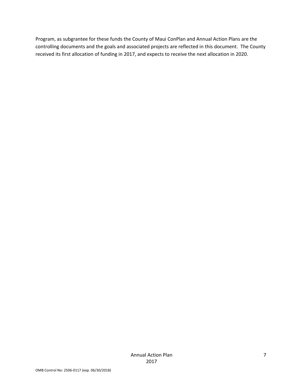Program, as subgrantee for these funds the County of Maui ConPlan and Annual Action Plans are the controlling documents and the goals and associated projects are reflected in this document. The County received its first allocation of funding in 2017, and expects to receive the next allocation in 2020.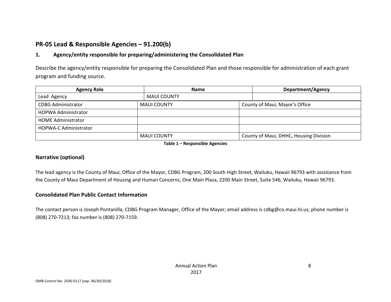# **PR‐05 Lead & Responsible Agencies – 91.200(b)**

#### **1.Agency/entity responsible for preparing/administering the Consolidated Plan**

Describe the agency/entity responsible for preparing the Consolidated Plan and those responsible for administration of each grant program and funding source.

| <b>Agency Role</b>           | Name               |  |                                        |  |
|------------------------------|--------------------|--|----------------------------------------|--|
| Lead Agency                  | <b>MAUI COUNTY</b> |  |                                        |  |
| <b>CDBG Administrator</b>    | <b>MAUI COUNTY</b> |  | County of Maui, Mayor's Office         |  |
| <b>HOPWA Administrator</b>   |                    |  |                                        |  |
| <b>HOME Administrator</b>    |                    |  |                                        |  |
| <b>HOPWA-C Administrator</b> |                    |  |                                        |  |
|                              | <b>MAUI COUNTY</b> |  | County of Maui, DHHC, Housing Division |  |

**Table 1 – Responsible Agencies**

## **Narrative (optional)**

The lead agency is the County of Maui, Office of the Mayor, CDBG Program, 200 South High Street, Wailuku, Hawaii 96793 with assistance from the County of Maui Department of Housing and Human Concerns, One Main Plaza, 2200 Main Street, Suite 546, Wailuku, Hawaii 96793.

## **Consolidated Plan Public Contact Information**

The contact person is Joseph Pontanilla, CDBG Program Manager, Office of the Mayor; email address is cdbg@co.maui.hi.us; phone number is (808) 270‐7213; fax number is (808) 270‐7159.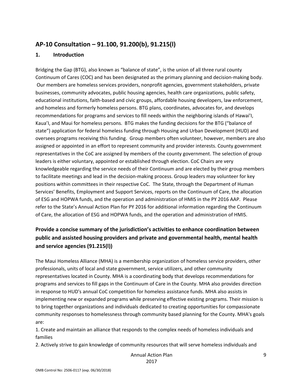# **AP‐10 Consultation – 91.100, 91.200(b), 91.215(l)**

# **1. Introduction**

Bridging the Gap (BTG), also known as "balance of state", is the union of all three rural county Continuum of Cares (COC) and has been designated as the primary planning and decision‐making body. Our members are homeless services providers, nonprofit agencies, government stakeholders, private businesses, community advocates, public housing agencies, health care organizations, public safety, educational institutions, faith‐based and civic groups, affordable housing developers, law enforcement, and homeless and formerly homeless persons. BTG plans, coordinates, advocates for, and develops recommendations for programs and services to fill needs within the neighboring islands of Hawai'I, Kaua'I, and Maui for homeless persons. BTG makes the funding decisions for the BTG ("balance of state") application for federal homeless funding through Housing and Urban Development (HUD) and oversees programs receiving this funding. Group members often volunteer, however, members are also assigned or appointed in an effort to represent community and provider interests. County government representatives in the CoC are assigned by members of the county government. The selection of group leaders is either voluntary, appointed or established through election. CoC Chairs are very knowledgeable regarding the service needs of their Continuum and are elected by their group members to facilitate meetings and lead in the decision‐making process. Group leaders may volunteer for key positions within committees in their respective CoC. The State, through the Department of Human Services' Benefits, Employment and Support Services, reports on the Continuum of Care, the allocation of ESG and HOPWA funds, and the operation and administration of HMIS in the PY 2016 AAP. Please refer to the State's Annual Action Plan for PY 2016 for additional information regarding the Continuum of Care, the allocation of ESG and HOPWA funds, and the operation and administration of HMIS.

# **Provide a concise summary of the jurisdiction's activities to enhance coordination between public and assisted housing providers and private and governmental health, mental health and service agencies (91.215(l))**

The Maui Homeless Alliance (MHA) is a membership organization of homeless service providers, other professionals, units of local and state government, service utilizers, and other community representatives located in County. MHA is a coordinating body that develops recommendations for programs and services to fill gaps in the Continuum of Care in the County. MHA also provides direction in response to HUD's annual CoC competition for homeless assistance funds. MHA also assists in implementing new or expanded programs while preserving effective existing programs. Their mission is to bring together organizations and individuals dedicated to creating opportunities for compassionate community responses to homelessness through community based planning for the County. MHA's goals are:

1. Create and maintain an alliance that responds to the complex needs of homeless individuals and families

2. Actively strive to gain knowledge of community resources that will serve homeless individuals and

Annual Action Plan

2017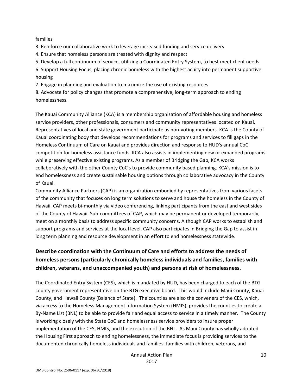#### families

3. Reinforce our collaborative work to leverage increased funding and service delivery

4. Ensure that homeless persons are treated with dignity and respect

5. Develop a full continuum of service, utilizing a Coordinated Entry System, to best meet client needs

6. Support Housing Focus, placing chronic homeless with the highest acuity into permanent supportive housing

7. Engage in planning and evaluation to maximize the use of existing resources

8. Advocate for policy changes that promote a comprehensive, long‐term approach to ending homelessness.

The Kauai Community Alliance (KCA) is a membership organization of affordable housing and homeless service providers, other professionals, consumers and community representatives located on Kauai. Representatives of local and state government participate as non-voting members. KCA is the County of Kauai coordinating body that develops recommendations for programs and services to fill gaps in the Homeless Continuum of Care on Kauai and provides direction and response to HUD's annual CoC competition for homeless assistance funds. KCA also assists in implementing new or expanded programs while preserving effective existing programs. As a member of Bridging the Gap, KCA works collaboratively with the other County CoC's to provide community based planning. KCA's mission is to end homelessness and create sustainable housing options through collaborative advocacy in the County of Kauai.

Community Alliance Partners (CAP) is an organization embodied by representatives from various facets of the community that focuses on long term solutions to serve and house the homeless in the County of Hawaii. CAP meets bi-monthly via video conferencing, linking participants from the east and west sides of the County of Hawaii. Sub‐committees of CAP, which may be permanent or developed temporarily, meet on a monthly basis to address specific community concerns. Although CAP works to establish and support programs and services at the local level, CAP also participates in Bridging the Gap to assist in long term planning and resource development in an effort to end homelessness statewide.

# **Describe coordination with the Continuum of Care and efforts to address the needs of homeless persons (particularly chronically homeless individuals and families, families with children, veterans, and unaccompanied youth) and persons at risk of homelessness.**

The Coordinated Entry System (CES), which is mandated by HUD, has been charged to each of the BTG county government representative on the BTG executive board. This would include Maui County, Kauai County, and Hawaii County (Balance of State). The counties are also the conveners of the CES, which, via access to the Homeless Management Information System (HMIS), provides the counties to create a By-Name List (BNL) to be able to provide fair and equal access to service in a timely manner. The County is working closely with the State CoC and homelessness service providers to insure proper implementation of the CES, HMIS, and the execution of the BNL. As Maui County has wholly adopted the Housing First approach to ending homelessness, the immediate focus is providing services to the documented chronically homeless individuals and families, families with children, veterans, and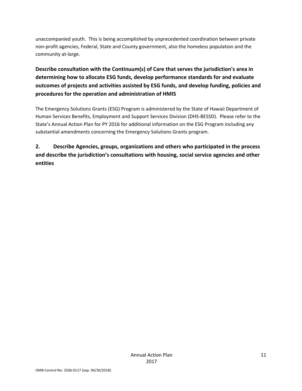unaccompanied youth. This is being accomplished by unprecedented coordination between private non‐profit agencies, Federal, State and County government, also the homeless population and the community at-large.

**Describe consultation with the Continuum(s) of Care that serves the jurisdiction's area in determining how to allocate ESG funds, develop performance standards for and evaluate outcomes of projects and activities assisted by ESG funds, and develop funding, policies and procedures for the operation and administration of HMIS**

The Emergency Solutions Grants (ESG) Program is administered by the State of Hawaii Department of Human Services Benefits, Employment and Support Services Division (DHS‐BESSD). Please refer to the State's Annual Action Plan for PY 2016 for additional information on the ESG Program including any substantial amendments concerning the Emergency Solutions Grants program.

**2. Describe Agencies, groups, organizations and others who participated in the process and describe the jurisdiction's consultations with housing, social service agencies and other entities**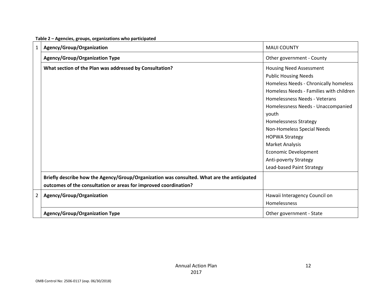| $\mathbf{1}$ | Agency/Group/Organization                                                                  | <b>MAUI COUNTY</b>                      |
|--------------|--------------------------------------------------------------------------------------------|-----------------------------------------|
|              | <b>Agency/Group/Organization Type</b>                                                      | Other government - County               |
|              | What section of the Plan was addressed by Consultation?                                    | <b>Housing Need Assessment</b>          |
|              |                                                                                            | <b>Public Housing Needs</b>             |
|              |                                                                                            | Homeless Needs - Chronically homeless   |
|              |                                                                                            | Homeless Needs - Families with children |
|              |                                                                                            | Homelessness Needs - Veterans           |
|              |                                                                                            | Homelessness Needs - Unaccompanied      |
|              |                                                                                            | youth                                   |
|              |                                                                                            | <b>Homelessness Strategy</b>            |
|              |                                                                                            | Non-Homeless Special Needs              |
|              |                                                                                            | <b>HOPWA Strategy</b>                   |
|              |                                                                                            | Market Analysis                         |
|              |                                                                                            | <b>Economic Development</b>             |
|              |                                                                                            | Anti-poverty Strategy                   |
|              |                                                                                            | Lead-based Paint Strategy               |
|              | Briefly describe how the Agency/Group/Organization was consulted. What are the anticipated |                                         |
|              | outcomes of the consultation or areas for improved coordination?                           |                                         |
| 2            | Agency/Group/Organization                                                                  | Hawaii Interagency Council on           |
|              |                                                                                            | Homelessness                            |
|              | <b>Agency/Group/Organization Type</b>                                                      | Other government - State                |

#### **Table 2 – Agencies, groups, organizations who participated**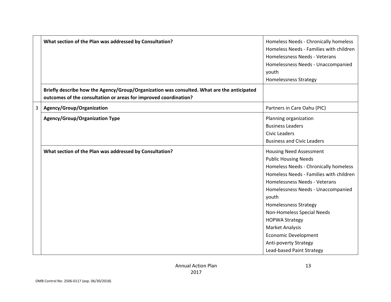|   | What section of the Plan was addressed by Consultation?                                                                                                        | Homeless Needs - Chronically homeless<br>Homeless Needs - Families with children<br>Homelessness Needs - Veterans<br>Homelessness Needs - Unaccompanied<br>youth<br><b>Homelessness Strategy</b>                                                                                                                                                                                                                                 |
|---|----------------------------------------------------------------------------------------------------------------------------------------------------------------|----------------------------------------------------------------------------------------------------------------------------------------------------------------------------------------------------------------------------------------------------------------------------------------------------------------------------------------------------------------------------------------------------------------------------------|
|   | Briefly describe how the Agency/Group/Organization was consulted. What are the anticipated<br>outcomes of the consultation or areas for improved coordination? |                                                                                                                                                                                                                                                                                                                                                                                                                                  |
| 3 | Agency/Group/Organization                                                                                                                                      | Partners in Care Oahu (PIC)                                                                                                                                                                                                                                                                                                                                                                                                      |
|   | <b>Agency/Group/Organization Type</b>                                                                                                                          | Planning organization<br><b>Business Leaders</b><br>Civic Leaders<br><b>Business and Civic Leaders</b>                                                                                                                                                                                                                                                                                                                           |
|   | What section of the Plan was addressed by Consultation?                                                                                                        | <b>Housing Need Assessment</b><br><b>Public Housing Needs</b><br>Homeless Needs - Chronically homeless<br>Homeless Needs - Families with children<br>Homelessness Needs - Veterans<br>Homelessness Needs - Unaccompanied<br>youth<br><b>Homelessness Strategy</b><br>Non-Homeless Special Needs<br><b>HOPWA Strategy</b><br>Market Analysis<br><b>Economic Development</b><br>Anti-poverty Strategy<br>Lead-based Paint Strategy |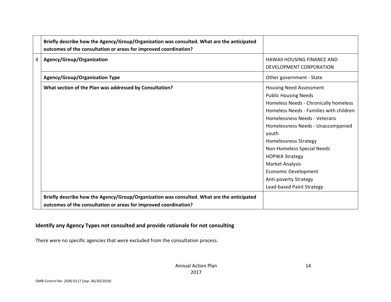|   | Briefly describe how the Agency/Group/Organization was consulted. What are the anticipated<br>outcomes of the consultation or areas for improved coordination? |                                                                                                                                                                                                                                                                                                                                                                                                                           |
|---|----------------------------------------------------------------------------------------------------------------------------------------------------------------|---------------------------------------------------------------------------------------------------------------------------------------------------------------------------------------------------------------------------------------------------------------------------------------------------------------------------------------------------------------------------------------------------------------------------|
| 4 | Agency/Group/Organization                                                                                                                                      | <b>HAWAII HOUSING FINANCE AND</b><br>DEVELOPMENT CORPORATION                                                                                                                                                                                                                                                                                                                                                              |
|   | <b>Agency/Group/Organization Type</b>                                                                                                                          | Other government - State                                                                                                                                                                                                                                                                                                                                                                                                  |
|   | What section of the Plan was addressed by Consultation?                                                                                                        | <b>Housing Need Assessment</b><br><b>Public Housing Needs</b><br>Homeless Needs - Chronically homeless<br>Homeless Needs - Families with children<br>Homelessness Needs - Veterans<br>Homelessness Needs - Unaccompanied<br>youth<br>Homelessness Strategy<br>Non-Homeless Special Needs<br><b>HOPWA Strategy</b><br>Market Analysis<br><b>Economic Development</b><br>Anti-poverty Strategy<br>Lead-based Paint Strategy |
|   | Briefly describe how the Agency/Group/Organization was consulted. What are the anticipated<br>outcomes of the consultation or areas for improved coordination? |                                                                                                                                                                                                                                                                                                                                                                                                                           |

# **Identify any Agency Types not consulted and provide rationale for not consulting**

There were no specific agencies that were excluded from the consultation process.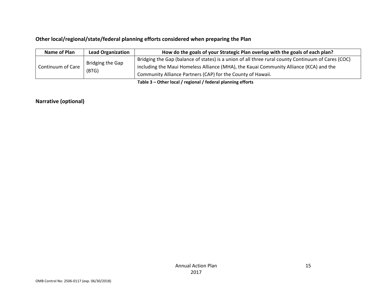# **Other local/regional/state/federal planning efforts considered when preparing the Plan**

| Name of Plan      | <b>Lead Organization</b> | How do the goals of your Strategic Plan overlap with the goals of each plan?                       |
|-------------------|--------------------------|----------------------------------------------------------------------------------------------------|
| Continuum of Care |                          | Bridging the Gap (balance of states) is a union of all three rural county Continuum of Cares (COC) |
|                   | Bridging the Gap         | including the Maui Homeless Alliance (MHA), the Kauai Community Alliance (KCA) and the             |
|                   | (BTG)                    | Community Alliance Partners (CAP) for the County of Hawaii.                                        |
|                   |                          |                                                                                                    |

**Table 3 – Other local / regional / federal planning efforts**

#### **Narrative (optional)**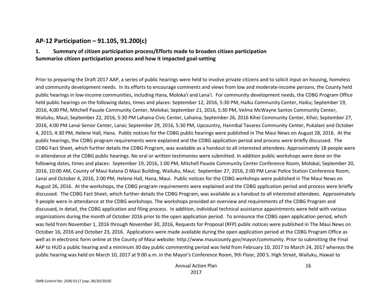# **AP‐12 Participation – 91.105, 91.200(c)**

#### **1. Summary of citizen participation process/Efforts made to broaden citizen participation Summarize citizen participation process and how it impacted goal‐setting**

Prior to preparing the Draft 2017 AAP, <sup>a</sup> series of public hearings were held to involve private citizens and to solicit input on housing, homeless and community development needs. In its efforts to encourage comments and views from low and moderate‐income persons, the County held public hearings in low‐income communities, including Hana, Moloka'i and Lana'i. For community development needs, the CDBG Program Office held public hearings on the following dates, times and places: September 12, 2016, 5:30 PM, Haiku Community Center, Haiku; September 19, 2016, 4;00 PM, Mitchell Pauole Community Center, Molokai; September 21, 2016, 5:30 PM, Velma McWayne Santos Community Center, Wailuku, Maui; September 22, 2016, 5:30 PM Lahaina Civic Center, Lahaina; September 26, 2016 Kihei Community Center, Kihei; September 27, 2016, 4:00 PM Lanai Senior Center, Lanai; September 29, 2016, 5:30 PM, Upcountry, Hannibal Tavares Community Center, Pukalani and October 4, 2015, 4:30 PM, Helene Hall, Hana. Public notices for the CDBG public hearings were published in The Maui News on August 28, 2016. At the public hearings, the CDBG program requirements were explained and the CDBG application period and process were briefly discussed. The CDBG Fact Sheet, which further details the CDBG Program, was available as <sup>a</sup> handout to all interested attendees. Approximately 18 people were in attendance at the CDBG public hearings. No oral or written testimonies were submitted. In addition public workshops were done on the following dates, times and places: September 19, 2016, 1:00 PM, Mitchell Pauole Community Center Conference Room, Molokai; September 20, 2016, 10:00 AM, County of Maui Kalana O Maui Building, Wailuku, Maui; September 27, 2016, 2:00 PM Lanai Police Station Conference Room, Lanai and October 4, 2016, 2:00 PM, Helene Hall, Hana, Maui. Public notices for the CDBG workshops were published in The Maui News on August 26, 2016. At the workshops, the CDBG program requirements were explained and the CDBG application period and process were briefly discussed. The CDBG Fact Sheet, which further details the CDBG Program, was available as <sup>a</sup> handout to all interested attendees. Approximately 9 people were in attendance at the CDBG workshops. The workshops provided an overview and requirements of the CDBG Program and discussed, in detail, the CDBG application and filing process. In addition, individual technical assistance appointments were held with various organizations during the month of October 2016 prior to the open application period. To announce the CDBG open application period, which was held from November 1, 2016 through November 30, 2016, Requests for Proposal (RFP) public notices were published in The Maui News on October 16, 2016 and October 23, 2016. Applications were made available during the open application period at the CDBG Program Office as well as in electronic form online at the County of Maui website: http://www.mauicounty.gov/mayor/community. Prior to submitting the Final AAP to HUD <sup>a</sup> public hearing and <sup>a</sup> minimum 30 day public commenting period was held from February 10, 2017 to March 24, 2017 whereas the public hearing was held on March 10, 2017 at 9:00 a.m. in the Mayor's Conference Room, 9th Floor, 200 S. High Street, Wailuku, Hawaii to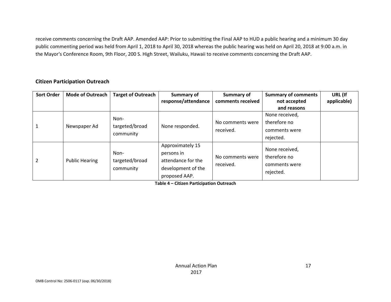receive comments concerning the Draft AAP. Amended AAP: Prior to submitting the Final AAP to HUD <sup>a</sup> public hearing and <sup>a</sup> minimum 30 day public commenting period was held from April 1, 2018 to April 30, 2018 whereas the public hearing was held on April 20, 2018 at 9:00 a.m. in the Mayor's Conference Room, 9th Floor, 200 S. High Street, Wailuku, Hawaii to receive comments concerning the Draft AAP.

## **Citizen Participation Outreach**

| <b>Sort Order</b> | <b>Mode of Outreach</b> | <b>Target of Outreach</b> | <b>Summary of</b>   | Summary of        | <b>Summary of comments</b> | URL (If     |
|-------------------|-------------------------|---------------------------|---------------------|-------------------|----------------------------|-------------|
|                   |                         |                           | response/attendance | comments received | not accepted               | applicable) |
|                   |                         |                           |                     |                   | and reasons                |             |
|                   |                         | Non-                      |                     |                   | None received,             |             |
|                   |                         |                           |                     | No comments were  | therefore no               |             |
|                   | Newspaper Ad            | targeted/broad            | None responded.     | received.         | comments were              |             |
|                   |                         | community                 |                     |                   | rejected.                  |             |
|                   |                         |                           | Approximately 15    |                   | None received,             |             |
|                   |                         | Non-                      | persons in          |                   |                            |             |
| $\overline{2}$    | <b>Public Hearing</b>   | targeted/broad            | attendance for the  | No comments were  | therefore no               |             |
|                   |                         | community                 | development of the  | received.         | comments were              |             |
|                   |                         |                           | proposed AAP.       |                   | rejected.                  |             |

**Table 4 – Citizen Participation Outreach**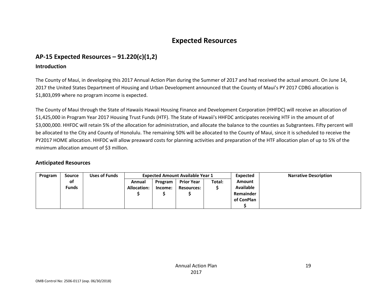# **Expected Resources**

# **AP‐15 Expected Resources – 91.220(c)(1,2)**

#### **Introduction**

The County of Maui, in developing this 2017 Annual Action Plan during the Summer of 2017 and had received the actual amount. On June 14, 2017 the United States Department of Housing and Urban Development announced that the County of Maui's PY 2017 CDBG allocation is \$1,803,099 where no program income is expected.

The County of Maui through the State of Hawaiis Hawaii Housing Finance and Development Corporation (HHFDC) will receive an allocation of \$1,425,000 in Program Year 2017 Housing Trust Funds (HTF). The State of Hawaii's HHFDC anticipates receiving HTF in the amount of of \$3,000,000. HHFDC will retain 5% of the allocation for administration, and allocate the balance to the counties as Subgrantees. Fifty percent will be allocated to the City and County of Honolulu. The remaining 50% will be allocated to the County of Maui, since it is scheduled to receive the PY2017 HOME allocation. HHFDC will allow preaward costs for planning activities and preparation of the HTF allocation plan of up to 5% of the minimum allocation amount of \$3 million.

## **Anticipated Resources**

| Program | <b>Source</b> | Uses of Funds | <b>Expected Amount Available Year 1</b> |         |                   |        | Expected      | <b>Narrative Description</b> |
|---------|---------------|---------------|-----------------------------------------|---------|-------------------|--------|---------------|------------------------------|
|         | of            |               | Annual                                  | Program | <b>Prior Year</b> | Total: | <b>Amount</b> |                              |
|         | <b>Funds</b>  |               | <b>Allocation:</b>                      | Income: | <b>Resources:</b> |        | Available     |                              |
|         |               |               |                                         |         |                   |        | Remainder     |                              |
|         |               |               |                                         |         |                   |        | of ConPlan    |                              |
|         |               |               |                                         |         |                   |        |               |                              |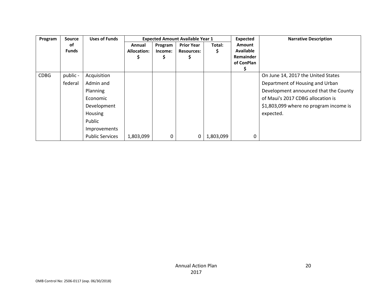| Program     | <b>Source</b> | <b>Uses of Funds</b>   |             |         | <b>Expected Amount Available Year 1</b> |           | <b>Expected</b>  | <b>Narrative Description</b>           |
|-------------|---------------|------------------------|-------------|---------|-----------------------------------------|-----------|------------------|----------------------------------------|
|             | of            |                        | Annual      | Program | <b>Prior Year</b>                       | Total:    | <b>Amount</b>    |                                        |
|             | <b>Funds</b>  |                        | Allocation: | Income: | <b>Resources:</b>                       |           | <b>Available</b> |                                        |
|             |               |                        |             | Ş       |                                         |           | <b>Remainder</b> |                                        |
|             |               |                        |             |         |                                         |           | of ConPlan       |                                        |
|             |               |                        |             |         |                                         |           |                  |                                        |
| <b>CDBG</b> | public -      | Acquisition            |             |         |                                         |           |                  | On June 14, 2017 the United States     |
|             | federal       | Admin and              |             |         |                                         |           |                  | Department of Housing and Urban        |
|             |               | Planning               |             |         |                                         |           |                  | Development announced that the County  |
|             |               | Economic               |             |         |                                         |           |                  | of Maui's 2017 CDBG allocation is      |
|             |               | Development            |             |         |                                         |           |                  | \$1,803,099 where no program income is |
|             |               | Housing                |             |         |                                         |           |                  | expected.                              |
|             |               | Public                 |             |         |                                         |           |                  |                                        |
|             |               | Improvements           |             |         |                                         |           |                  |                                        |
|             |               | <b>Public Services</b> | 1,803,099   | 0       | 0                                       | 1,803,099 | 0                |                                        |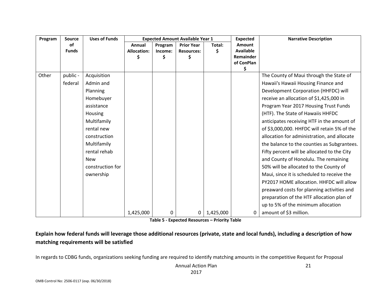| Program | <b>Source</b> | <b>Uses of Funds</b> | <b>Expected Amount Available Year 1</b> |         |                   | <b>Expected</b> |                  | <b>Narrative Description</b>                |
|---------|---------------|----------------------|-----------------------------------------|---------|-------------------|-----------------|------------------|---------------------------------------------|
|         | of            |                      | Annual                                  | Program | <b>Prior Year</b> | Total:          | Amount           |                                             |
|         | <b>Funds</b>  |                      | <b>Allocation:</b>                      | Income: | <b>Resources:</b> | Ś               | <b>Available</b> |                                             |
|         |               |                      |                                         | Ś       |                   |                 | Remainder        |                                             |
|         |               |                      |                                         |         |                   |                 | of ConPlan<br>\$ |                                             |
| Other   | public -      | Acquisition          |                                         |         |                   |                 |                  | The County of Maui through the State of     |
|         | federal       | Admin and            |                                         |         |                   |                 |                  | Hawaii's Hawaii Housing Finance and         |
|         |               | Planning             |                                         |         |                   |                 |                  | Development Corporation (HHFDC) will        |
|         |               | Homebuyer            |                                         |         |                   |                 |                  | receive an allocation of \$1,425,000 in     |
|         |               | assistance           |                                         |         |                   |                 |                  | Program Year 2017 Housing Trust Funds       |
|         |               | Housing              |                                         |         |                   |                 |                  | (HTF). The State of Hawaiis HHFDC           |
|         |               | Multifamily          |                                         |         |                   |                 |                  | anticipates receiving HTF in the amount of  |
|         |               | rental new           |                                         |         |                   |                 |                  | of \$3,000,000. HHFDC will retain 5% of the |
|         |               | construction         |                                         |         |                   |                 |                  | allocation for administration, and allocate |
|         |               | Multifamily          |                                         |         |                   |                 |                  | the balance to the counties as Subgrantees. |
|         |               | rental rehab         |                                         |         |                   |                 |                  | Fifty percent will be allocated to the City |
|         |               | <b>New</b>           |                                         |         |                   |                 |                  | and County of Honolulu. The remaining       |
|         |               | construction for     |                                         |         |                   |                 |                  | 50% will be allocated to the County of      |
|         |               | ownership            |                                         |         |                   |                 |                  | Maui, since it is scheduled to receive the  |
|         |               |                      |                                         |         |                   |                 |                  | PY2017 HOME allocation. HHFDC will allow    |
|         |               |                      |                                         |         |                   |                 |                  | preaward costs for planning activities and  |
|         |               |                      |                                         |         |                   |                 |                  | preparation of the HTF allocation plan of   |
|         |               |                      |                                         |         |                   |                 |                  | up to 5% of the minimum allocation          |
|         |               |                      | 1,425,000                               | 0       | 0                 | 1,425,000       | 0                | amount of \$3 million.                      |

**Table 5 ‐ Expected Resources – Priority Table**

Explain how federal funds will leverage those additional resources (private, state and local funds), including a description of how **matching requirements will be satisfied**

In regards to CDBG funds, organizations seeking funding are required to identify matching amounts in the competitive Request for Proposal

Annual Action Plan 2017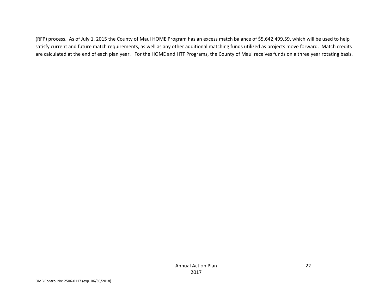(RFP) process. As of July 1, 2015 the County of Maui HOME Program has an excess match balance of \$5,642,499.59, which will be used to help satisfy current and future match requirements, as well as any other additional matching funds utilized as projects move forward. Match credits are calculated at the end of each plan year. For the HOME and HTF Programs, the County of Maui receives funds on <sup>a</sup> three year rotating basis.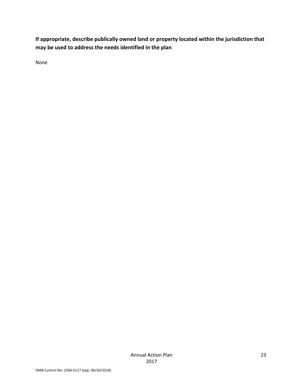**If appropriate, describe publically owned land or property located within the jurisdiction that may be used to address the needs identified in the plan**

None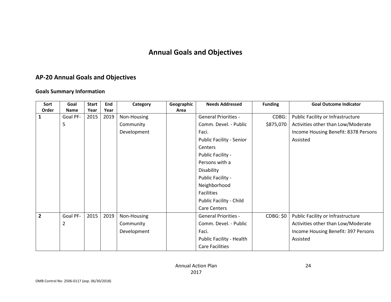# **Annual Goals and Objectives**

# **AP‐20 Annual Goals and Objectives**

#### **Goals Summary Information**

| Sort           | Goal           | <b>Start</b> | End  | Category    | Geographic | <b>Needs Addressed</b>          | <b>Funding</b>   | <b>Goal Outcome Indicator</b>        |
|----------------|----------------|--------------|------|-------------|------------|---------------------------------|------------------|--------------------------------------|
| Order          | Name           | Year         | Year |             | Area       |                                 |                  |                                      |
| 1              | Goal PF-       | 2015         | 2019 | Non-Housing |            | <b>General Priorities -</b>     | CDBG:            | Public Facility or Infrastructure    |
|                | 5              |              |      | Community   |            | Comm. Devel. - Public           | \$875,070        | Activities other than Low/Moderate   |
|                |                |              |      | Development |            | Faci.                           |                  | Income Housing Benefit: 8378 Persons |
|                |                |              |      |             |            | <b>Public Facility - Senior</b> |                  | Assisted                             |
|                |                |              |      |             |            | Centers                         |                  |                                      |
|                |                |              |      |             |            | Public Facility -               |                  |                                      |
|                |                |              |      |             |            | Persons with a                  |                  |                                      |
|                |                |              |      |             |            | Disability                      |                  |                                      |
|                |                |              |      |             |            | Public Facility -               |                  |                                      |
|                |                |              |      |             |            | Neighborhood                    |                  |                                      |
|                |                |              |      |             |            | <b>Facilities</b>               |                  |                                      |
|                |                |              |      |             |            | Public Facility - Child         |                  |                                      |
|                |                |              |      |             |            | <b>Care Centers</b>             |                  |                                      |
| $\overline{2}$ | Goal PF-       | 2015         | 2019 | Non-Housing |            | <b>General Priorities -</b>     | <b>CDBG: \$0</b> | Public Facility or Infrastructure    |
|                | $\overline{2}$ |              |      | Community   |            | Comm. Devel. - Public           |                  | Activities other than Low/Moderate   |
|                |                |              |      | Development |            | Faci.                           |                  | Income Housing Benefit: 397 Persons  |
|                |                |              |      |             |            | Public Facility - Health        |                  | Assisted                             |
|                |                |              |      |             |            | <b>Care Facilities</b>          |                  |                                      |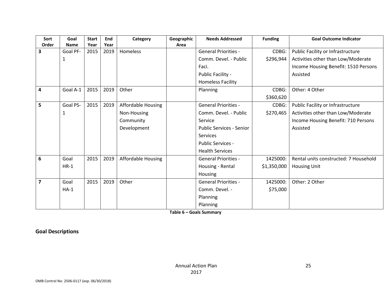| Sort                    | Goal        | <b>Start</b> | End  | Category                  | Geographic | <b>Needs Addressed</b>          | <b>Funding</b> | <b>Goal Outcome Indicator</b>         |
|-------------------------|-------------|--------------|------|---------------------------|------------|---------------------------------|----------------|---------------------------------------|
| Order                   | <b>Name</b> | Year         | Year |                           | Area       |                                 |                |                                       |
| 3                       | Goal PF-    | 2015         | 2019 | Homeless                  |            | <b>General Priorities -</b>     | CDBG:          | Public Facility or Infrastructure     |
|                         | 1           |              |      |                           |            | Comm. Devel. - Public           | \$296,944      | Activities other than Low/Moderate    |
|                         |             |              |      |                           |            | Faci.                           |                | Income Housing Benefit: 1510 Persons  |
|                         |             |              |      |                           |            | Public Facility -               |                | Assisted                              |
|                         |             |              |      |                           |            | <b>Homeless Facility</b>        |                |                                       |
| 4                       | Goal A-1    | 2015         | 2019 | Other                     |            | Planning                        | CDBG:          | Other: 4 Other                        |
|                         |             |              |      |                           |            |                                 | \$360,620      |                                       |
| 5                       | Goal PS-    | 2015         | 2019 | <b>Affordable Housing</b> |            | <b>General Priorities -</b>     | CDBG:          | Public Facility or Infrastructure     |
|                         | 1           |              |      | Non-Housing               |            | Comm. Devel. - Public           | \$270,465      | Activities other than Low/Moderate    |
|                         |             |              |      | Community                 |            | Service                         |                | Income Housing Benefit: 710 Persons   |
|                         |             |              |      | Development               |            | <b>Public Services - Senior</b> |                | Assisted                              |
|                         |             |              |      |                           |            | Services                        |                |                                       |
|                         |             |              |      |                           |            | <b>Public Services -</b>        |                |                                       |
|                         |             |              |      |                           |            | <b>Health Services</b>          |                |                                       |
| 6                       | Goal        | 2015         | 2019 | <b>Affordable Housing</b> |            | <b>General Priorities -</b>     | 1425000:       | Rental units constructed: 7 Household |
|                         | $HR-1$      |              |      |                           |            | Housing - Rental                | \$1,350,000    | <b>Housing Unit</b>                   |
|                         |             |              |      |                           |            | Housing                         |                |                                       |
| $\overline{\mathbf{z}}$ | Goal        | 2015         | 2019 | Other                     |            | <b>General Priorities -</b>     | 1425000:       | Other: 2 Other                        |
|                         | $HA-1$      |              |      |                           |            | Comm. Devel. -                  | \$75,000       |                                       |
|                         |             |              |      |                           |            | Planning                        |                |                                       |
|                         |             |              |      |                           |            | Planning                        |                |                                       |

**Table 6 – Goals Summary**

**Goal Descriptions**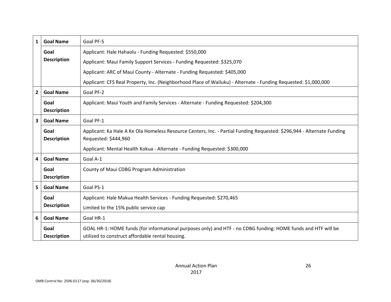| $\mathbf{1}$   | <b>Goal Name</b>           | Goal PF-5                                                                                                                                                         |
|----------------|----------------------------|-------------------------------------------------------------------------------------------------------------------------------------------------------------------|
|                | Goal                       | Applicant: Hale Hahaolu - Funding Requested: \$550,000                                                                                                            |
|                | <b>Description</b>         | Applicant: Maui Family Support Services - Funding Requested: \$325,070                                                                                            |
|                |                            | Applicant: ARC of Maui County - Alternate - Funding Requested: \$405,000                                                                                          |
|                |                            | Applicant: CFS Real Property, Inc. (Neighborhood Place of Wailuku) - Alternate - Funding Requested: \$1,000,000                                                   |
| $\overline{2}$ | <b>Goal Name</b>           | Goal PF-2                                                                                                                                                         |
|                | Goal<br><b>Description</b> | Applicant: Maui Youth and Family Services - Alternate - Funding Requested: \$204,300                                                                              |
| 3              | <b>Goal Name</b>           | Goal PF-1                                                                                                                                                         |
|                | Goal<br><b>Description</b> | Applicant: Ka Hale A Ke Ola Homeless Resource Centers, Inc. - Partial Funding Requested: \$296,944 - Alternate Funding<br>Requested: \$444,960                    |
|                |                            | Applicant: Mental Health Kokua - Alternate - Funding Requested: \$300,000                                                                                         |
| 4              | <b>Goal Name</b>           | Goal A-1                                                                                                                                                          |
|                | Goal<br><b>Description</b> | County of Maui CDBG Program Administration                                                                                                                        |
| 5 <sup>1</sup> | <b>Goal Name</b>           | Goal PS-1                                                                                                                                                         |
|                | Goal                       | Applicant: Hale Makua Health Services - Funding Requested: \$270,465                                                                                              |
|                | <b>Description</b>         | Limited to the 15% public service cap                                                                                                                             |
| 6              | <b>Goal Name</b>           | Goal HR-1                                                                                                                                                         |
|                | Goal<br><b>Description</b> | GOAL HR-1: HOME funds (for informational purposes only) and HTF - no CDBG funding: HOME funds and HTF will be<br>utilized to construct affordable rental housing. |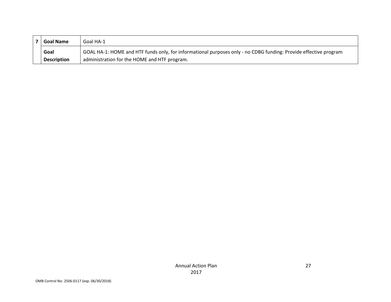| <b>Goal Name</b><br>Goal HA-1 |                    |                                                                                                                  |  |
|-------------------------------|--------------------|------------------------------------------------------------------------------------------------------------------|--|
|                               | Goal               | GOAL HA-1: HOME and HTF funds only, for informational purposes only - no CDBG funding: Provide effective program |  |
|                               | <b>Description</b> | administration for the HOME and HTF program.                                                                     |  |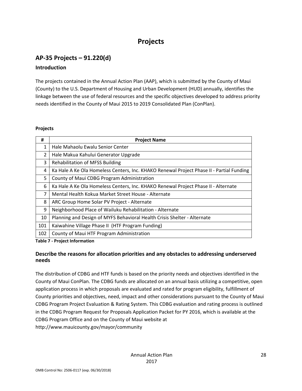# **Projects**

# **AP‐35 Projects – 91.220(d)**

# **Introduction**

The projects contained in the Annual Action Plan (AAP), which is submitted by the County of Maui (County) to the U.S. Department of Housing and Urban Development (HUD) annually, identifies the linkage between the use of federal resources and the specific objectives developed to address priority needs identified in the County of Maui 2015 to 2019 Consolidated Plan (ConPlan).

#### **Projects**

| #                                           | <b>Project Name</b>                                                                      |  |
|---------------------------------------------|------------------------------------------------------------------------------------------|--|
| 1                                           | Hale Mahaolu Ewalu Senior Center                                                         |  |
| $\overline{2}$                              | Hale Makua Kahului Generator Upgrade                                                     |  |
| 3<br><b>Rehabilitation of MFSS Building</b> |                                                                                          |  |
| 4                                           | Ka Hale A Ke Ola Homeless Centers, Inc. KHAKO Renewal Project Phase II - Partial Funding |  |
| 5                                           | County of Maui CDBG Program Administration                                               |  |
| 6                                           | Ka Hale A Ke Ola Homeless Centers, Inc. KHAKO Renewal Project Phase II - Alternate       |  |
| 7                                           | Mental Health Kokua Market Street House - Alternate                                      |  |
| 8                                           | ARC Group Home Solar PV Project - Alternate                                              |  |
| 9                                           | Neighborhood Place of Wailuku Rehabilitation - Alternate                                 |  |
| 10                                          | Planning and Design of MYFS Behavioral Health Crisis Shelter - Alternate                 |  |
| 101                                         | Kaiwahine Village Phase II (HTF Program Funding)                                         |  |
| 102                                         | County of Maui HTF Program Administration                                                |  |

**Table 7 ‐ Project Information**

# **Describe the reasons for allocation priorities and any obstacles to addressing underserved needs**

The distribution of CDBG and HTF funds is based on the priority needs and objectives identified in the County of Maui ConPlan. The CDBG funds are allocated on an annual basis utilizing a competitive, open application process in which proposals are evaluated and rated for program eligibility, fulfillment of County priorities and objectives, need, impact and other considerations pursuant to the County of Maui CDBG Program Project Evaluation & Rating System. This CDBG evaluation and rating process is outlined in the CDBG Program Request for Proposals Application Packet for PY 2016, which is available at the CDBG Program Office and on the County of Maui website at http://www.mauicounty.gov/mayor/community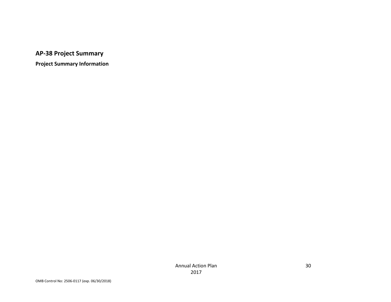**AP‐38 Project Summary**

**Project Summary Information**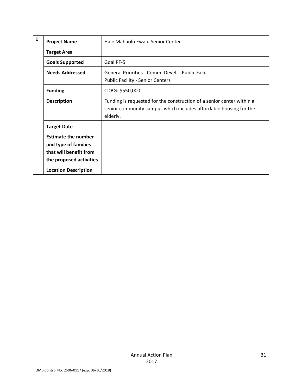| 1 | <b>Project Name</b>                                                                                     | Hale Mahaolu Ewalu Senior Center                                                                                                                       |
|---|---------------------------------------------------------------------------------------------------------|--------------------------------------------------------------------------------------------------------------------------------------------------------|
|   | <b>Target Area</b>                                                                                      |                                                                                                                                                        |
|   | <b>Goals Supported</b>                                                                                  | Goal PF-5                                                                                                                                              |
|   | <b>Needs Addressed</b>                                                                                  | General Priorities - Comm. Devel. - Public Faci.<br><b>Public Facility - Senior Centers</b>                                                            |
|   | <b>Funding</b>                                                                                          | CDBG: \$550,000                                                                                                                                        |
|   | <b>Description</b>                                                                                      | Funding is requested for the construction of a senior center within a<br>senior community campus which includes affordable housing for the<br>elderly. |
|   | <b>Target Date</b>                                                                                      |                                                                                                                                                        |
|   | <b>Estimate the number</b><br>and type of families<br>that will benefit from<br>the proposed activities |                                                                                                                                                        |
|   | <b>Location Description</b>                                                                             |                                                                                                                                                        |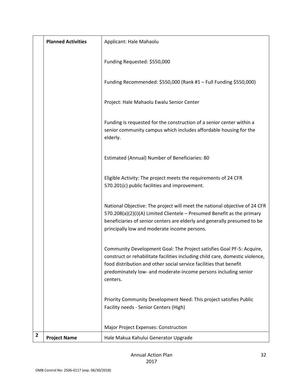|   | <b>Planned Activities</b> | Applicant: Hale Mahaolu                                                                                                                                                                                                                                                                                     |
|---|---------------------------|-------------------------------------------------------------------------------------------------------------------------------------------------------------------------------------------------------------------------------------------------------------------------------------------------------------|
|   |                           | Funding Requested: \$550,000                                                                                                                                                                                                                                                                                |
|   |                           | Funding Recommended: \$550,000 (Rank #1 - Full Funding \$550,000)                                                                                                                                                                                                                                           |
|   |                           | Project: Hale Mahaolu Ewalu Senior Center                                                                                                                                                                                                                                                                   |
|   |                           | Funding is requested for the construction of a senior center within a<br>senior community campus which includes affordable housing for the<br>elderly.                                                                                                                                                      |
|   |                           | Estimated (Annual) Number of Beneficiaries: 80                                                                                                                                                                                                                                                              |
|   |                           | Eligible Activity: The project meets the requirements of 24 CFR<br>570.201(c) public facilities and improvement.                                                                                                                                                                                            |
|   |                           | National Objective: The project will meet the national objective of 24 CFR<br>570.208(a)(2)(i)(A) Limited Clientele – Presumed Benefit as the primary<br>beneficiaries of senior centers are elderly and generally presumed to be<br>principally low and moderate income persons.                           |
|   |                           | Community Development Goal: The Project satisfies Goal PF-5: Acquire,<br>construct or rehabilitate facilities including child care, domestic violence,<br>food distribution and other social service facilities that benefit<br>predominately low- and moderate-income persons including senior<br>centers. |
|   |                           | Priority Community Development Need: This project satisfies Public<br>Facility needs - Senior Centers (High)                                                                                                                                                                                                |
|   |                           | Major Project Expenses: Construction                                                                                                                                                                                                                                                                        |
| 2 | <b>Project Name</b>       | Hale Makua Kahului Generator Upgrade                                                                                                                                                                                                                                                                        |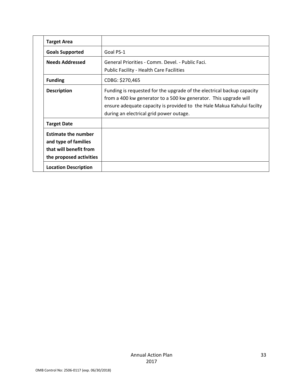|  | <b>Target Area</b>                                                                                      |                                                                                                                                                                                                                                                                 |
|--|---------------------------------------------------------------------------------------------------------|-----------------------------------------------------------------------------------------------------------------------------------------------------------------------------------------------------------------------------------------------------------------|
|  | <b>Goals Supported</b>                                                                                  | Goal PS-1                                                                                                                                                                                                                                                       |
|  | <b>Needs Addressed</b>                                                                                  | General Priorities - Comm. Devel. - Public Faci.<br><b>Public Facility - Health Care Facilities</b>                                                                                                                                                             |
|  | <b>Funding</b>                                                                                          | CDBG: \$270,465                                                                                                                                                                                                                                                 |
|  | <b>Description</b>                                                                                      | Funding is requested for the upgrade of the electrical backup capacity<br>from a 400 kw generator to a 500 kw generator. This upgrade will<br>ensure adequate capacity is provided to the Hale Makua Kahului facilty<br>during an electrical grid power outage. |
|  | <b>Target Date</b>                                                                                      |                                                                                                                                                                                                                                                                 |
|  | <b>Estimate the number</b><br>and type of families<br>that will benefit from<br>the proposed activities |                                                                                                                                                                                                                                                                 |
|  | <b>Location Description</b>                                                                             |                                                                                                                                                                                                                                                                 |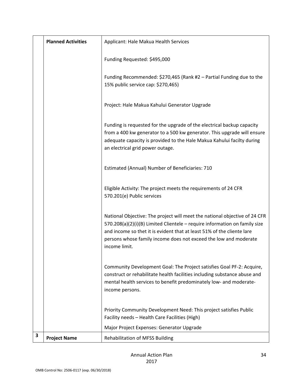|   | <b>Planned Activities</b> | Applicant: Hale Makua Health Services                                                                                                                                                                                                                                                                                   |
|---|---------------------------|-------------------------------------------------------------------------------------------------------------------------------------------------------------------------------------------------------------------------------------------------------------------------------------------------------------------------|
|   |                           | Funding Requested: \$495,000                                                                                                                                                                                                                                                                                            |
|   |                           | Funding Recommended: \$270,465 (Rank #2 - Partial Funding due to the<br>15% public service cap: \$270,465)                                                                                                                                                                                                              |
|   |                           | Project: Hale Makua Kahului Generator Upgrade                                                                                                                                                                                                                                                                           |
|   |                           | Funding is requested for the upgrade of the electrical backup capacity<br>from a 400 kw generator to a 500 kw generator. This upgrade will ensure<br>adequate capacity is provided to the Hale Makua Kahului facilty during<br>an electrical grid power outage.                                                         |
|   |                           | Estimated (Annual) Number of Beneficiaries: 710                                                                                                                                                                                                                                                                         |
|   |                           | Eligible Activity: The project meets the requirements of 24 CFR<br>570.201(e) Public services                                                                                                                                                                                                                           |
|   |                           | National Objective: The project will meet the national objective of 24 CFR<br>570.208(a)(2)(i)(B) Limited Clientele - require information on family size<br>and income so thet it is evident that at least 51% of the cliente lare<br>persons whose family income does not exceed the low and moderate<br>income limit. |
|   |                           | Community Development Goal: The Project satisfies Goal PF-2: Acquire,<br>construct or rehabilitate health facilities including substance abuse and<br>mental health services to benefit predominately low- and moderate-<br>income persons.                                                                             |
|   |                           | Priority Community Development Need: This project satisfies Public<br>Facility needs - Health Care Facilities (High)                                                                                                                                                                                                    |
|   |                           | Major Project Expenses: Generator Upgrade                                                                                                                                                                                                                                                                               |
| 3 | <b>Project Name</b>       | <b>Rehabilitation of MFSS Building</b>                                                                                                                                                                                                                                                                                  |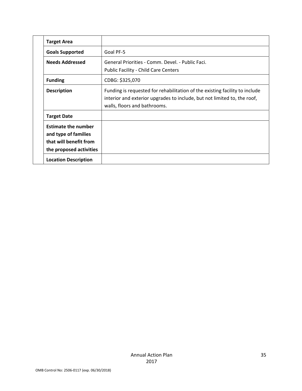|  | <b>Target Area</b>                                                                                      |                                                                                                                                                                                         |
|--|---------------------------------------------------------------------------------------------------------|-----------------------------------------------------------------------------------------------------------------------------------------------------------------------------------------|
|  | <b>Goals Supported</b>                                                                                  | Goal PF-5                                                                                                                                                                               |
|  | <b>Needs Addressed</b>                                                                                  | General Priorities - Comm. Devel. - Public Faci.<br><b>Public Facility - Child Care Centers</b>                                                                                         |
|  | <b>Funding</b>                                                                                          | CDBG: \$325,070                                                                                                                                                                         |
|  | <b>Description</b>                                                                                      | Funding is requested for rehabilitation of the existing facility to include<br>interior and exterior upgrades to include, but not limited to, the roof,<br>walls, floors and bathrooms. |
|  | <b>Target Date</b>                                                                                      |                                                                                                                                                                                         |
|  | <b>Estimate the number</b><br>and type of families<br>that will benefit from<br>the proposed activities |                                                                                                                                                                                         |
|  | <b>Location Description</b>                                                                             |                                                                                                                                                                                         |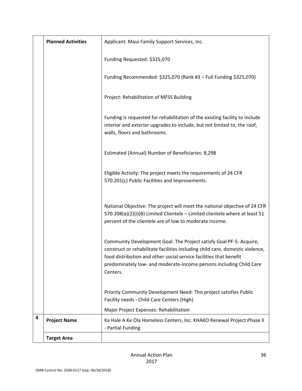|   | <b>Planned Activities</b> | Applicant: Maui Family Support Services, Inc.                                                                                                                                                                                                                                                                 |
|---|---------------------------|---------------------------------------------------------------------------------------------------------------------------------------------------------------------------------------------------------------------------------------------------------------------------------------------------------------|
|   |                           | Funding Requested: \$325,070                                                                                                                                                                                                                                                                                  |
|   |                           | Funding Recommended: \$325,070 (Rank #3 - Full Funding \$325,070)                                                                                                                                                                                                                                             |
|   |                           | Project: Rehabilitation of MFSS Building                                                                                                                                                                                                                                                                      |
|   |                           | Funding is requested for rehabilitation of the existing facility to include<br>interior and exterior upgrades to include, but not limited to, the roof,<br>walls, floors and bathrooms.                                                                                                                       |
|   |                           | Estimated (Annual) Number of Beneficiaries: 8,298                                                                                                                                                                                                                                                             |
|   |                           | Eligible Activity: The project meets the requirements of 24 CFR<br>570.201(c) Public Facilities and Improvements.                                                                                                                                                                                             |
|   |                           | National Objective: The project will meet the national objective of 24 CFR<br>570.208(a)(2)(i)(B) Limited Clientele - Limited clientele where at least 51<br>percent of the clientele are of low to moderate income.                                                                                          |
|   |                           | Community Development Goal: The Project satisfy Goal PF-5: Acquire,<br>construct or rehabilitate facilities including child care, domestic violence,<br>food distribution and other social service facilities that benefit<br>predominately low- and moderate-income persons including Child Care<br>Centers. |
|   |                           | Priority Community Development Need: This project satisfies Public<br>Facility needs - Child Care Centers (High)                                                                                                                                                                                              |
|   |                           | Major Project Expenses: Rehabilitation                                                                                                                                                                                                                                                                        |
| 4 | <b>Project Name</b>       | Ka Hale A Ke Ola Homeless Centers, Inc. KHAKO Renewal Project Phase II<br>- Partial Funding                                                                                                                                                                                                                   |
|   | <b>Target Area</b>        |                                                                                                                                                                                                                                                                                                               |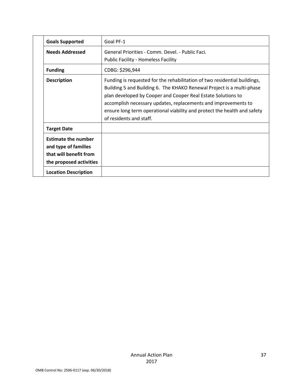| <b>Goals Supported</b>                                                                                  | Goal PF-1                                                                                                                                                                                                                                                                                                                                                                                   |
|---------------------------------------------------------------------------------------------------------|---------------------------------------------------------------------------------------------------------------------------------------------------------------------------------------------------------------------------------------------------------------------------------------------------------------------------------------------------------------------------------------------|
| <b>Needs Addressed</b>                                                                                  | General Priorities - Comm. Devel. - Public Faci.<br><b>Public Facility - Homeless Facility</b>                                                                                                                                                                                                                                                                                              |
| <b>Funding</b>                                                                                          | CDBG: \$296,944                                                                                                                                                                                                                                                                                                                                                                             |
| <b>Description</b>                                                                                      | Funding is requested for the rehabilitation of two residential buildings,<br>Building 5 and Building 6. The KHAKO Renewal Project is a multi-phase<br>plan developed by Cooper and Cooper Real Estate Solutions to<br>accomplish necessary updates, replacements and improvements to<br>ensure long term operational viability and protect the health and safety<br>of residents and staff. |
| <b>Target Date</b>                                                                                      |                                                                                                                                                                                                                                                                                                                                                                                             |
| <b>Estimate the number</b><br>and type of families<br>that will benefit from<br>the proposed activities |                                                                                                                                                                                                                                                                                                                                                                                             |
| <b>Location Description</b>                                                                             |                                                                                                                                                                                                                                                                                                                                                                                             |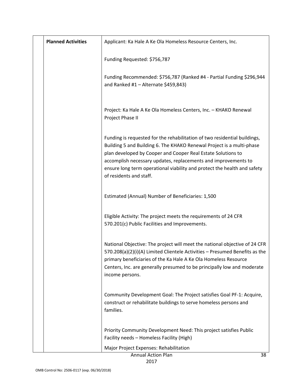| <b>Planned Activities</b> | Applicant: Ka Hale A Ke Ola Homeless Resource Centers, Inc.                                                                                                                                                                                                                                                                                                                                 |
|---------------------------|---------------------------------------------------------------------------------------------------------------------------------------------------------------------------------------------------------------------------------------------------------------------------------------------------------------------------------------------------------------------------------------------|
|                           | Funding Requested: \$756,787                                                                                                                                                                                                                                                                                                                                                                |
|                           | Funding Recommended: \$756,787 (Ranked #4 - Partial Funding \$296,944<br>and Ranked #1 - Alternate \$459,843)                                                                                                                                                                                                                                                                               |
|                           | Project: Ka Hale A Ke Ola Homeless Centers, Inc. - KHAKO Renewal<br>Project Phase II                                                                                                                                                                                                                                                                                                        |
|                           | Funding is requested for the rehabilitation of two residential buildings,<br>Building 5 and Building 6. The KHAKO Renewal Project is a multi-phase<br>plan developed by Cooper and Cooper Real Estate Solutions to<br>accomplish necessary updates, replacements and improvements to<br>ensure long term operational viability and protect the health and safety<br>of residents and staff. |
|                           | Estimated (Annual) Number of Beneficiaries: 1,500                                                                                                                                                                                                                                                                                                                                           |
|                           | Eligible Activity: The project meets the requirements of 24 CFR<br>570.201(c) Public Facilities and Improvements.                                                                                                                                                                                                                                                                           |
|                           | National Objective: The project will meet the national objective of 24 CFR<br>570.208(a)(2)(i)(A) Limited Clientele Activities - Presumed Benefits as the<br>primary beneficiaries of the Ka Hale A Ke Ola Homeless Resource<br>Centers, Inc. are generally presumed to be principally low and moderate<br>income persons.                                                                  |
|                           | Community Development Goal: The Project satisfies Goal PF-1: Acquire,<br>construct or rehabilitate buildings to serve homeless persons and<br>families.                                                                                                                                                                                                                                     |
|                           | Priority Community Development Need: This project satisfies Public<br>Facility needs - Homeless Facility (High)                                                                                                                                                                                                                                                                             |
|                           | Major Project Expenses: Rehabilitation                                                                                                                                                                                                                                                                                                                                                      |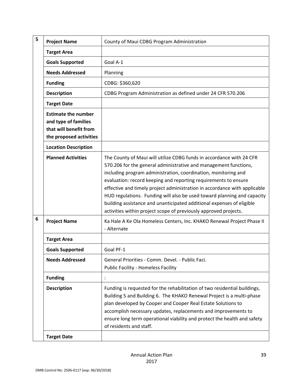| 5 | <b>Project Name</b>                                                                                     | County of Maui CDBG Program Administration                                                                                                                                                                                                                                                                                                                                                                                                                                                                                                                                         |
|---|---------------------------------------------------------------------------------------------------------|------------------------------------------------------------------------------------------------------------------------------------------------------------------------------------------------------------------------------------------------------------------------------------------------------------------------------------------------------------------------------------------------------------------------------------------------------------------------------------------------------------------------------------------------------------------------------------|
|   | <b>Target Area</b>                                                                                      |                                                                                                                                                                                                                                                                                                                                                                                                                                                                                                                                                                                    |
|   | <b>Goals Supported</b>                                                                                  | Goal A-1                                                                                                                                                                                                                                                                                                                                                                                                                                                                                                                                                                           |
|   | <b>Needs Addressed</b>                                                                                  | Planning                                                                                                                                                                                                                                                                                                                                                                                                                                                                                                                                                                           |
|   | <b>Funding</b>                                                                                          | CDBG: \$360,620                                                                                                                                                                                                                                                                                                                                                                                                                                                                                                                                                                    |
|   | <b>Description</b>                                                                                      | CDBG Program Administration as defined under 24 CFR 570.206                                                                                                                                                                                                                                                                                                                                                                                                                                                                                                                        |
|   | <b>Target Date</b>                                                                                      |                                                                                                                                                                                                                                                                                                                                                                                                                                                                                                                                                                                    |
|   | <b>Estimate the number</b><br>and type of families<br>that will benefit from<br>the proposed activities |                                                                                                                                                                                                                                                                                                                                                                                                                                                                                                                                                                                    |
|   | <b>Location Description</b>                                                                             |                                                                                                                                                                                                                                                                                                                                                                                                                                                                                                                                                                                    |
|   | <b>Planned Activities</b>                                                                               | The County of Maui will utilize CDBG funds in accordance with 24 CFR<br>570.206 for the general administrative and management functions,<br>including program administration, coordination, monitoring and<br>evaluation: record keeping and reporting requirements to ensure<br>effective and timely project administration in accordance with applicable<br>HUD regulations. Funding will also be used toward planning and capacity<br>building assistance and unanticipated additional expenses of eligible<br>activities within project scope of previously approved projects. |
| 6 | <b>Project Name</b>                                                                                     | Ka Hale A Ke Ola Homeless Centers, Inc. KHAKO Renewal Project Phase II<br>- Alternate                                                                                                                                                                                                                                                                                                                                                                                                                                                                                              |
|   | <b>Target Area</b>                                                                                      |                                                                                                                                                                                                                                                                                                                                                                                                                                                                                                                                                                                    |
|   | <b>Goals Supported</b>                                                                                  | Goal PF-1                                                                                                                                                                                                                                                                                                                                                                                                                                                                                                                                                                          |
|   | <b>Needs Addressed</b>                                                                                  | General Priorities - Comm. Devel. - Public Faci.<br><b>Public Facility - Homeless Facility</b>                                                                                                                                                                                                                                                                                                                                                                                                                                                                                     |
|   | <b>Funding</b>                                                                                          |                                                                                                                                                                                                                                                                                                                                                                                                                                                                                                                                                                                    |
|   | <b>Description</b>                                                                                      | Funding is requested for the rehabilitation of two residential buildings,<br>Building 5 and Building 6. The KHAKO Renewal Project is a multi-phase<br>plan developed by Cooper and Cooper Real Estate Solutions to<br>accomplish necessary updates, replacements and improvements to<br>ensure long term operational viability and protect the health and safety<br>of residents and staff.                                                                                                                                                                                        |
|   | <b>Target Date</b>                                                                                      |                                                                                                                                                                                                                                                                                                                                                                                                                                                                                                                                                                                    |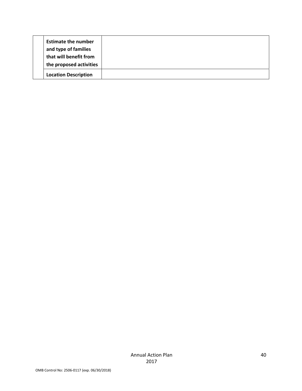| <b>Estimate the number</b>  |  |  |
|-----------------------------|--|--|
| and type of families        |  |  |
| that will benefit from      |  |  |
| the proposed activities     |  |  |
| <b>Location Description</b> |  |  |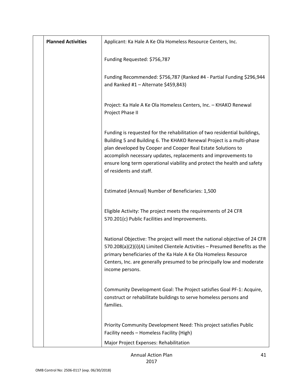| <b>Planned Activities</b> | Applicant: Ka Hale A Ke Ola Homeless Resource Centers, Inc.                                                                                                                                                                                                                                                                                                                                 |
|---------------------------|---------------------------------------------------------------------------------------------------------------------------------------------------------------------------------------------------------------------------------------------------------------------------------------------------------------------------------------------------------------------------------------------|
|                           | Funding Requested: \$756,787                                                                                                                                                                                                                                                                                                                                                                |
|                           | Funding Recommended: \$756,787 (Ranked #4 - Partial Funding \$296,944<br>and Ranked #1 - Alternate \$459,843)                                                                                                                                                                                                                                                                               |
|                           | Project: Ka Hale A Ke Ola Homeless Centers, Inc. - KHAKO Renewal<br>Project Phase II                                                                                                                                                                                                                                                                                                        |
|                           | Funding is requested for the rehabilitation of two residential buildings,<br>Building 5 and Building 6. The KHAKO Renewal Project is a multi-phase<br>plan developed by Cooper and Cooper Real Estate Solutions to<br>accomplish necessary updates, replacements and improvements to<br>ensure long term operational viability and protect the health and safety<br>of residents and staff. |
|                           | Estimated (Annual) Number of Beneficiaries: 1,500                                                                                                                                                                                                                                                                                                                                           |
|                           | Eligible Activity: The project meets the requirements of 24 CFR<br>570.201(c) Public Facilities and Improvements.                                                                                                                                                                                                                                                                           |
|                           | National Objective: The project will meet the national objective of 24 CFR<br>570.208(a)(2)(i)(A) Limited Clientele Activities - Presumed Benefits as the<br>primary beneficiaries of the Ka Hale A Ke Ola Homeless Resource<br>Centers, Inc. are generally presumed to be principally low and moderate<br>income persons.                                                                  |
|                           | Community Development Goal: The Project satisfies Goal PF-1: Acquire,<br>construct or rehabilitate buildings to serve homeless persons and<br>families.                                                                                                                                                                                                                                     |
|                           | Priority Community Development Need: This project satisfies Public<br>Facility needs - Homeless Facility (High)                                                                                                                                                                                                                                                                             |
|                           | Major Project Expenses: Rehabilitation                                                                                                                                                                                                                                                                                                                                                      |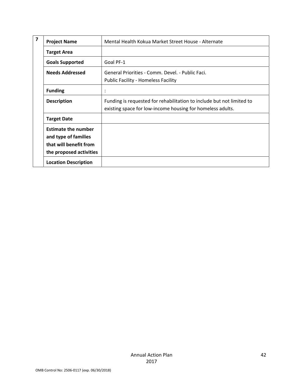| 7 | <b>Project Name</b>                                                                                     | Mental Health Kokua Market Street House - Alternate                                                                                 |
|---|---------------------------------------------------------------------------------------------------------|-------------------------------------------------------------------------------------------------------------------------------------|
|   | <b>Target Area</b>                                                                                      |                                                                                                                                     |
|   | <b>Goals Supported</b>                                                                                  | Goal PF-1                                                                                                                           |
|   | <b>Needs Addressed</b>                                                                                  | General Priorities - Comm. Devel. - Public Faci.<br><b>Public Facility - Homeless Facility</b>                                      |
|   | <b>Funding</b>                                                                                          | $\ddot{\phantom{a}}$                                                                                                                |
|   | <b>Description</b>                                                                                      | Funding is requested for rehabilitation to include but not limited to<br>existing space for low-income housing for homeless adults. |
|   | <b>Target Date</b>                                                                                      |                                                                                                                                     |
|   | <b>Estimate the number</b><br>and type of families<br>that will benefit from<br>the proposed activities |                                                                                                                                     |
|   | <b>Location Description</b>                                                                             |                                                                                                                                     |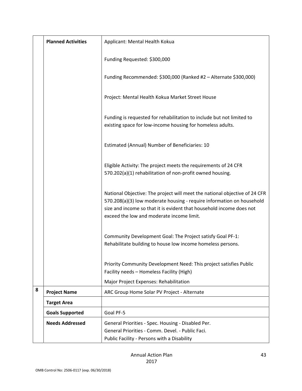|   | <b>Planned Activities</b> | Applicant: Mental Health Kokua                                                                                                                                                                                                                                           |
|---|---------------------------|--------------------------------------------------------------------------------------------------------------------------------------------------------------------------------------------------------------------------------------------------------------------------|
|   |                           | Funding Requested: \$300,000                                                                                                                                                                                                                                             |
|   |                           | Funding Recommended: \$300,000 (Ranked #2 - Alternate \$300,000)                                                                                                                                                                                                         |
|   |                           | Project: Mental Health Kokua Market Street House                                                                                                                                                                                                                         |
|   |                           | Funding is requested for rehabilitation to include but not limited to<br>existing space for low-income housing for homeless adults.                                                                                                                                      |
|   |                           | Estimated (Annual) Number of Beneficiaries: 10                                                                                                                                                                                                                           |
|   |                           | Eligible Activity: The project meets the requirements of 24 CFR<br>570.202(a)(1) rehabilitation of non-profit owned housing.                                                                                                                                             |
|   |                           | National Objective: The project will meet the national objective of 24 CFR<br>570.208(a)(3) low moderate housing - require information on household<br>size and income so that it is evident that household income does not<br>exceed the low and moderate income limit. |
|   |                           | Community Development Goal: The Project satisfy Goal PF-1:<br>Rehabilitate building to house low income homeless persons.                                                                                                                                                |
|   |                           | Priority Community Development Need: This project satisfies Public<br>Facility needs - Homeless Facility (High)                                                                                                                                                          |
|   |                           | Major Project Expenses: Rehabilitation                                                                                                                                                                                                                                   |
| 8 | <b>Project Name</b>       | ARC Group Home Solar PV Project - Alternate                                                                                                                                                                                                                              |
|   | <b>Target Area</b>        |                                                                                                                                                                                                                                                                          |
|   | <b>Goals Supported</b>    | Goal PF-5                                                                                                                                                                                                                                                                |
|   | <b>Needs Addressed</b>    | General Priorities - Spec. Housing - Disabled Per.<br>General Priorities - Comm. Devel. - Public Faci.<br>Public Facility - Persons with a Disability                                                                                                                    |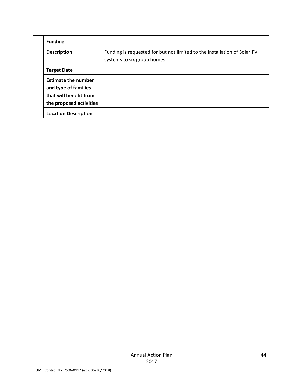|  | <b>Funding</b>                                                                                          | $\blacksquare$                                                                                          |
|--|---------------------------------------------------------------------------------------------------------|---------------------------------------------------------------------------------------------------------|
|  | <b>Description</b>                                                                                      | Funding is requested for but not limited to the installation of Solar PV<br>systems to six group homes. |
|  | <b>Target Date</b>                                                                                      |                                                                                                         |
|  | <b>Estimate the number</b><br>and type of families<br>that will benefit from<br>the proposed activities |                                                                                                         |
|  | <b>Location Description</b>                                                                             |                                                                                                         |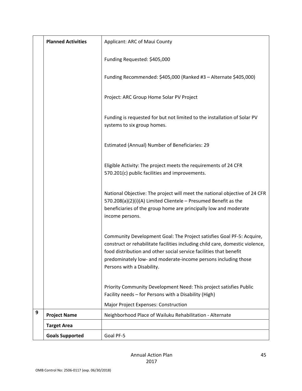|   | <b>Planned Activities</b> | Applicant: ARC of Maui County                                                                                                                                                                                                                                                                                                |
|---|---------------------------|------------------------------------------------------------------------------------------------------------------------------------------------------------------------------------------------------------------------------------------------------------------------------------------------------------------------------|
|   |                           | Funding Requested: \$405,000                                                                                                                                                                                                                                                                                                 |
|   |                           | Funding Recommended: \$405,000 (Ranked #3 - Alternate \$405,000)                                                                                                                                                                                                                                                             |
|   |                           | Project: ARC Group Home Solar PV Project                                                                                                                                                                                                                                                                                     |
|   |                           | Funding is requested for but not limited to the installation of Solar PV<br>systems to six group homes.                                                                                                                                                                                                                      |
|   |                           | Estimated (Annual) Number of Beneficiaries: 29                                                                                                                                                                                                                                                                               |
|   |                           | Eligible Activity: The project meets the requirements of 24 CFR<br>570.201(c) public facilities and improvements.                                                                                                                                                                                                            |
|   |                           | National Objective: The project will meet the national objective of 24 CFR<br>570.208(a)(2)(i)(A) Limited Clientele - Presumed Benefit as the<br>beneficiaries of the group home are principally low and moderate<br>income persons.                                                                                         |
|   |                           | Community Development Goal: The Project satisfies Goal PF-5: Acquire,<br>construct or rehabilitate facilities including child care, domestic violence,<br>food distribution and other social service facilities that benefit<br>predominately low- and moderate-income persons including those<br>Persons with a Disability. |
|   |                           | Priority Community Development Need: This project satisfies Public<br>Facility needs - for Persons with a Disability (High)                                                                                                                                                                                                  |
|   |                           | <b>Major Project Expenses: Construction</b>                                                                                                                                                                                                                                                                                  |
| 9 | <b>Project Name</b>       | Neighborhood Place of Wailuku Rehabilitation - Alternate                                                                                                                                                                                                                                                                     |
|   | <b>Target Area</b>        |                                                                                                                                                                                                                                                                                                                              |
|   | <b>Goals Supported</b>    | Goal PF-5                                                                                                                                                                                                                                                                                                                    |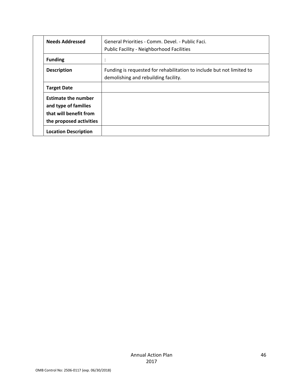| <b>Needs Addressed</b>                                                                                  | General Priorities - Comm. Devel. - Public Faci.                                                              |
|---------------------------------------------------------------------------------------------------------|---------------------------------------------------------------------------------------------------------------|
|                                                                                                         | Public Facility - Neighborhood Facilities                                                                     |
| <b>Funding</b>                                                                                          |                                                                                                               |
| <b>Description</b>                                                                                      | Funding is requested for rehabilitation to include but not limited to<br>demolishing and rebuilding facility. |
| <b>Target Date</b>                                                                                      |                                                                                                               |
| <b>Estimate the number</b><br>and type of families<br>that will benefit from<br>the proposed activities |                                                                                                               |
| <b>Location Description</b>                                                                             |                                                                                                               |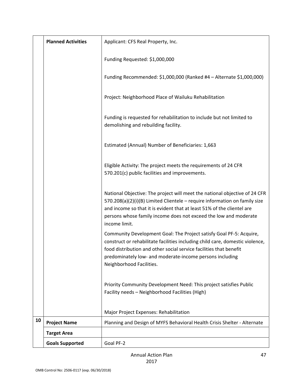|    | <b>Planned Activities</b> | Applicant: CFS Real Property, Inc.                                                                                                                                                                                                                                                                                      |
|----|---------------------------|-------------------------------------------------------------------------------------------------------------------------------------------------------------------------------------------------------------------------------------------------------------------------------------------------------------------------|
|    |                           | Funding Requested: \$1,000,000                                                                                                                                                                                                                                                                                          |
|    |                           | Funding Recommended: \$1,000,000 (Ranked #4 - Alternate \$1,000,000)                                                                                                                                                                                                                                                    |
|    |                           | Project: Neighborhood Place of Wailuku Rehabilitation                                                                                                                                                                                                                                                                   |
|    |                           | Funding is requested for rehabilitation to include but not limited to<br>demolishing and rebuilding facility.                                                                                                                                                                                                           |
|    |                           | Estimated (Annual) Number of Beneficiaries: 1,663                                                                                                                                                                                                                                                                       |
|    |                           | Eligible Activity: The project meets the requirements of 24 CFR<br>570.201(c) public facilities and improvements.                                                                                                                                                                                                       |
|    |                           | National Objective: The project will meet the national objective of 24 CFR<br>570.208(a)(2)(i)(B) Limited Clientele - require information on family size<br>and income so that it is evident that at least 51% of the clientel are<br>persons whose family income does not exceed the low and moderate<br>income limit. |
|    |                           | Community Development Goal: The Project satisfy Goal PF-5: Acquire,<br>construct or rehabilitate facilities including child care, domestic violence,<br>food distribution and other social service facilities that benefit<br>predominately low- and moderate-income persons including<br>Neighborhood Facilities.      |
|    |                           | Priority Community Development Need: This project satisfies Public<br>Facility needs - Neighborhood Facilities (High)                                                                                                                                                                                                   |
|    |                           | Major Project Expenses: Rehabilitation                                                                                                                                                                                                                                                                                  |
| 10 | <b>Project Name</b>       | Planning and Design of MYFS Behavioral Health Crisis Shelter - Alternate                                                                                                                                                                                                                                                |
|    | <b>Target Area</b>        |                                                                                                                                                                                                                                                                                                                         |
|    | <b>Goals Supported</b>    | Goal PF-2                                                                                                                                                                                                                                                                                                               |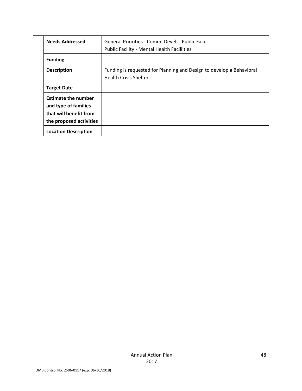| <b>Needs Addressed</b>                                                                                  | General Priorities - Comm. Devel. - Public Faci.                                               |
|---------------------------------------------------------------------------------------------------------|------------------------------------------------------------------------------------------------|
|                                                                                                         | <b>Public Facility - Mental Health Facililties</b>                                             |
| <b>Funding</b>                                                                                          |                                                                                                |
| <b>Description</b>                                                                                      | Funding is requested for Planning and Design to develop a Behavioral<br>Health Crisis Shelter. |
| <b>Target Date</b>                                                                                      |                                                                                                |
| <b>Estimate the number</b><br>and type of families<br>that will benefit from<br>the proposed activities |                                                                                                |
| <b>Location Description</b>                                                                             |                                                                                                |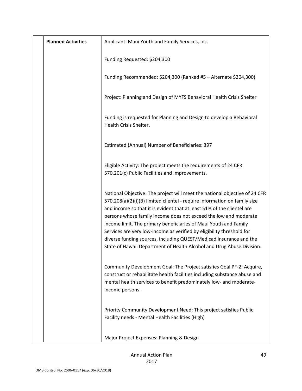| <b>Planned Activities</b> | Applicant: Maui Youth and Family Services, Inc.                                                                                                                                                                                                                                                                                                                                                                                                                                                                                                                                                   |
|---------------------------|---------------------------------------------------------------------------------------------------------------------------------------------------------------------------------------------------------------------------------------------------------------------------------------------------------------------------------------------------------------------------------------------------------------------------------------------------------------------------------------------------------------------------------------------------------------------------------------------------|
|                           | Funding Requested: \$204,300                                                                                                                                                                                                                                                                                                                                                                                                                                                                                                                                                                      |
|                           | Funding Recommended: \$204,300 (Ranked #5 - Alternate \$204,300)                                                                                                                                                                                                                                                                                                                                                                                                                                                                                                                                  |
|                           | Project: Planning and Design of MYFS Behavioral Health Crisis Shelter                                                                                                                                                                                                                                                                                                                                                                                                                                                                                                                             |
|                           | Funding is requested for Planning and Design to develop a Behavioral<br>Health Crisis Shelter.                                                                                                                                                                                                                                                                                                                                                                                                                                                                                                    |
|                           | Estimated (Annual) Number of Beneficiaries: 397                                                                                                                                                                                                                                                                                                                                                                                                                                                                                                                                                   |
|                           | Eligible Activity: The project meets the requirements of 24 CFR<br>570.201(c) Public Facilities and Improvements.                                                                                                                                                                                                                                                                                                                                                                                                                                                                                 |
|                           | National Objective: The project will meet the national objective of 24 CFR<br>570.208(a)(2)(i)(B) limited clientel - require information on family size<br>and income so that it is evident that at least 51% of the clientel are<br>persons whose family income does not exceed the low and moderate<br>income limit. The primary beneficiaries of Maui Youth and Family<br>Services are very low-income as verified by eligibility threshold for<br>diverse funding sources, including QUEST/Medicad insurance and the<br>State of Hawaii Department of Health Alcohol and Drug Abuse Division. |
|                           | Community Development Goal: The Project satisfies Goal PF-2: Acquire,<br>construct or rehabilitate health facilities including substance abuse and<br>mental health services to benefit predominately low- and moderate-<br>income persons.                                                                                                                                                                                                                                                                                                                                                       |
|                           | Priority Community Development Need: This project satisfies Public<br>Facility needs - Mental Health Facilities (High)                                                                                                                                                                                                                                                                                                                                                                                                                                                                            |
|                           | Major Project Expenses: Planning & Design                                                                                                                                                                                                                                                                                                                                                                                                                                                                                                                                                         |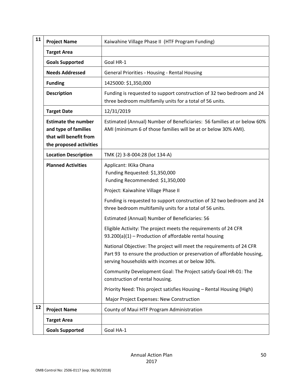| 11 | <b>Project Name</b>                                                                                     | Kaiwahine Village Phase II (HTF Program Funding)                                                                                                                                                    |
|----|---------------------------------------------------------------------------------------------------------|-----------------------------------------------------------------------------------------------------------------------------------------------------------------------------------------------------|
|    | <b>Target Area</b>                                                                                      |                                                                                                                                                                                                     |
|    | <b>Goals Supported</b>                                                                                  | Goal HR-1                                                                                                                                                                                           |
|    | <b>Needs Addressed</b>                                                                                  | General Priorities - Housing - Rental Housing                                                                                                                                                       |
|    | <b>Funding</b>                                                                                          | 1425000: \$1,350,000                                                                                                                                                                                |
|    | <b>Description</b>                                                                                      | Funding is requested to support construction of 32 two bedroom and 24<br>three bedroom multifamily units for a total of 56 units.                                                                   |
|    | <b>Target Date</b>                                                                                      | 12/31/2019                                                                                                                                                                                          |
|    | <b>Estimate the number</b><br>and type of families<br>that will benefit from<br>the proposed activities | Estimated (Annual) Number of Beneficiaries: 56 families at or below 60%<br>AMI (minimum 6 of those families will be at or below 30% AMI).                                                           |
|    | <b>Location Description</b>                                                                             | TMK (2) 3-8-004:28 (lot 134-A)                                                                                                                                                                      |
|    | <b>Planned Activities</b>                                                                               | Applicant: IKika Ohana<br>Funding Requested: \$1,350,000<br>Funding Recommended: \$1,350,000                                                                                                        |
|    |                                                                                                         | Project: Kaiwahine Village Phase II                                                                                                                                                                 |
|    |                                                                                                         | Funding is requested to support construction of 32 two bedroom and 24<br>three bedroom multifamily units for a total of 56 units.                                                                   |
|    |                                                                                                         | Estimated (Annual) Number of Beneficiaries: 56                                                                                                                                                      |
|    |                                                                                                         | Eligible Activity: The project meets the requirements of 24 CFR<br>93.200(a)(1) - Production of affordable rental housing                                                                           |
|    |                                                                                                         | National Objective: The project will meet the requirements of 24 CFR<br>Part 93 to ensure the production or preservation of affordable housing,<br>serving households with incomes at or below 30%. |
|    |                                                                                                         | Community Development Goal: The Project satisfy Goal HR-01: The<br>construction of rental housing.                                                                                                  |
|    |                                                                                                         | Priority Need: This project satisfies Housing - Rental Housing (High)                                                                                                                               |
|    |                                                                                                         | Major Project Expenses: New Construction                                                                                                                                                            |
| 12 | <b>Project Name</b>                                                                                     | County of Maui HTF Program Administration                                                                                                                                                           |
|    | <b>Target Area</b>                                                                                      |                                                                                                                                                                                                     |
|    | <b>Goals Supported</b>                                                                                  | Goal HA-1                                                                                                                                                                                           |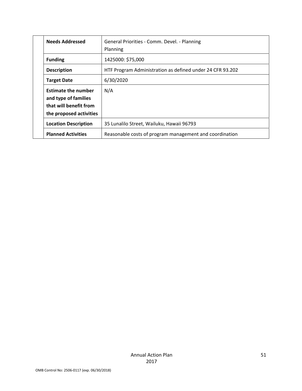|  | <b>Needs Addressed</b>                                                                                  | General Priorities - Comm. Devel. - Planning<br>Planning  |
|--|---------------------------------------------------------------------------------------------------------|-----------------------------------------------------------|
|  | <b>Funding</b>                                                                                          | 1425000: \$75,000                                         |
|  | <b>Description</b>                                                                                      | HTF Program Administration as defined under 24 CFR 93.202 |
|  | <b>Target Date</b>                                                                                      | 6/30/2020                                                 |
|  | <b>Estimate the number</b><br>and type of families<br>that will benefit from<br>the proposed activities | N/A                                                       |
|  | <b>Location Description</b>                                                                             | 35 Lunalilo Street, Wailuku, Hawaii 96793                 |
|  | <b>Planned Activities</b>                                                                               | Reasonable costs of program management and coordination   |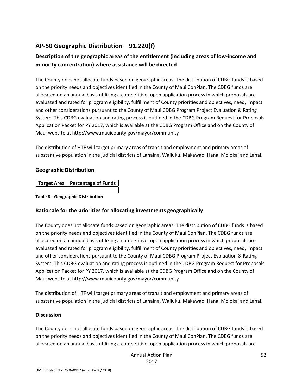# **AP‐50 Geographic Distribution – 91.220(f)**

# **Description of the geographic areas of the entitlement (including areas of low‐income and minority concentration) where assistance will be directed**

The County does not allocate funds based on geographic areas. The distribution of CDBG funds is based on the priority needs and objectives identified in the County of Maui ConPlan. The CDBG funds are allocated on an annual basis utilizing a competitive, open application process in which proposals are evaluated and rated for program eligibility, fulfillment of County priorities and objectives, need, impact and other considerations pursuant to the County of Maui CDBG Program Project Evaluation & Rating System. This CDBG evaluation and rating process is outlined in the CDBG Program Request for Proposals Application Packet for PY 2017, which is available at the CDBG Program Office and on the County of Maui website at http://www.mauicounty.gov/mayor/community

The distribution of HTF will target primary areas of transit and employment and primary areas of substantive population in the judicial districts of Lahaina, Wailuku, Makawao, Hana, Molokai and Lanai.

### **Geographic Distribution**

| Target Area   Percentage of Funds |
|-----------------------------------|
|                                   |
| - - - -                           |

**Table 8 ‐ Geographic Distribution** 

## **Rationale for the priorities for allocating investments geographically**

The County does not allocate funds based on geographic areas. The distribution of CDBG funds is based on the priority needs and objectives identified in the County of Maui ConPlan. The CDBG funds are allocated on an annual basis utilizing a competitive, open application process in which proposals are evaluated and rated for program eligibility, fulfillment of County priorities and objectives, need, impact and other considerations pursuant to the County of Maui CDBG Program Project Evaluation & Rating System. This CDBG evaluation and rating process is outlined in the CDBG Program Request for Proposals Application Packet for PY 2017, which is available at the CDBG Program Office and on the County of Maui website at http://www.mauicounty.gov/mayor/community

The distribution of HTF will target primary areas of transit and employment and primary areas of substantive population in the judicial districts of Lahaina, Wailuku, Makawao, Hana, Molokai and Lanai.

## **Discussion**

The County does not allocate funds based on geographic areas. The distribution of CDBG funds is based on the priority needs and objectives identified in the County of Maui ConPlan. The CDBG funds are allocated on an annual basis utilizing a competitive, open application process in which proposals are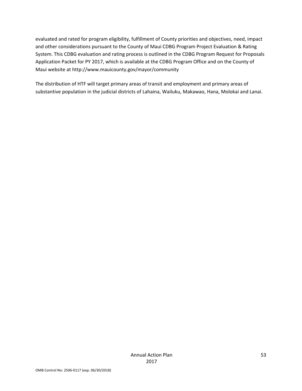evaluated and rated for program eligibility, fulfillment of County priorities and objectives, need, impact and other considerations pursuant to the County of Maui CDBG Program Project Evaluation & Rating System. This CDBG evaluation and rating process is outlined in the CDBG Program Request for Proposals Application Packet for PY 2017, which is available at the CDBG Program Office and on the County of Maui website at http://www.mauicounty.gov/mayor/community

The distribution of HTF will target primary areas of transit and employment and primary areas of substantive population in the judicial districts of Lahaina, Wailuku, Makawao, Hana, Molokai and Lanai.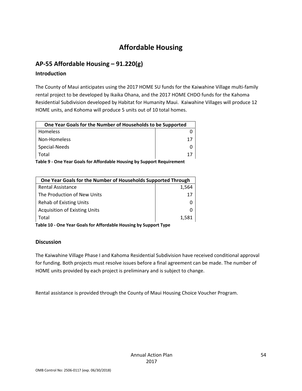# **Affordable Housing**

# **AP‐55 Affordable Housing – 91.220(g)**

### **Introduction**

The County of Maui anticipates using the 2017 HOME SU funds for the Kaiwahine Village multi‐family rental project to be developed by Ikaika Ohana, and the 2017 HOME CHDO funds for the Kahoma Residential Subdivision developed by Habitat for Humanity Maui. Kaiwahine Villages will produce 12 HOME units, and Kohoma will produce 5 units out of 10 total homes.

| One Year Goals for the Number of Households to be Supported |  |
|-------------------------------------------------------------|--|
| Homeless                                                    |  |
| Non-Homeless                                                |  |
| Special-Needs                                               |  |
| Total                                                       |  |

**Table 9 ‐ One Year Goals for Affordable Housing by Support Requirement**

| One Year Goals for the Number of Households Supported Through |       |  |
|---------------------------------------------------------------|-------|--|
| <b>Rental Assistance</b>                                      | 1.564 |  |
| The Production of New Units                                   | 17    |  |
| <b>Rehab of Existing Units</b>                                |       |  |
| <b>Acquisition of Existing Units</b>                          |       |  |
| Total                                                         | 1.581 |  |

**Table 10 ‐ One Year Goals for Affordable Housing by Support Type**

## **Discussion**

The Kaiwahine Village Phase I and Kahoma Residential Subdivision have received conditional approval for funding. Both projects must resolve issues before a final agreement can be made. The number of HOME units provided by each project is preliminary and is subject to change.

Rental assistance is provided through the County of Maui Housing Choice Voucher Program.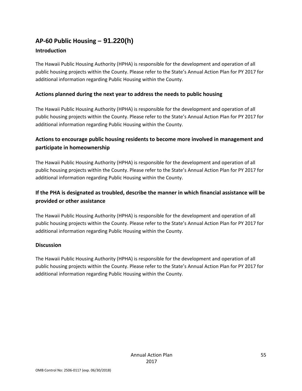# **AP‐60 Public Housing** *–* **91.220(h)**

## **Introduction**

The Hawaii Public Housing Authority (HPHA) is responsible for the development and operation of all public housing projects within the County. Please refer to the State's Annual Action Plan for PY 2017 for additional information regarding Public Housing within the County.

## **Actions planned during the next year to address the needs to public housing**

The Hawaii Public Housing Authority (HPHA) is responsible for the development and operation of all public housing projects within the County. Please refer to the State's Annual Action Plan for PY 2017 for additional information regarding Public Housing within the County.

# **Actions to encourage public housing residents to become more involved in management and participate in homeownership**

The Hawaii Public Housing Authority (HPHA) is responsible for the development and operation of all public housing projects within the County. Please refer to the State's Annual Action Plan for PY 2017 for additional information regarding Public Housing within the County.

# **If the PHA is designated as troubled, describe the manner in which financial assistance will be provided or other assistance**

The Hawaii Public Housing Authority (HPHA) is responsible for the development and operation of all public housing projects within the County. Please refer to the State's Annual Action Plan for PY 2017 for additional information regarding Public Housing within the County.

## **Discussion**

The Hawaii Public Housing Authority (HPHA) is responsible for the development and operation of all public housing projects within the County. Please refer to the State's Annual Action Plan for PY 2017 for additional information regarding Public Housing within the County.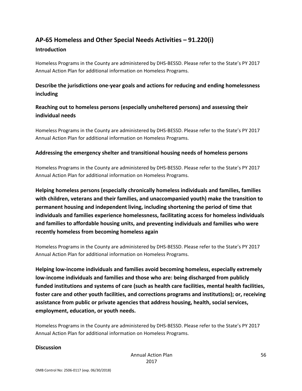# **AP‐65 Homeless and Other Special Needs Activities – 91.220(i)**

#### **Introduction**

Homeless Programs in the County are administered by DHS‐BESSD. Please refer to the State's PY 2017 Annual Action Plan for additional information on Homeless Programs.

# **Describe the jurisdictions one‐year goals and actions for reducing and ending homelessness including**

# **Reaching out to homeless persons (especially unsheltered persons) and assessing their individual needs**

Homeless Programs in the County are administered by DHS‐BESSD. Please refer to the State's PY 2017 Annual Action Plan for additional information on Homeless Programs.

### **Addressing the emergency shelter and transitional housing needs of homeless persons**

Homeless Programs in the County are administered by DHS‐BESSD. Please refer to the State's PY 2017 Annual Action Plan for additional information on Homeless Programs.

**Helping homeless persons (especially chronically homeless individuals and families, families with children, veterans and their families, and unaccompanied youth) make the transition to permanent housing and independent living, including shortening the period of time that individuals and families experience homelessness, facilitating access for homeless individuals and families to affordable housing units, and preventing individuals and families who were recently homeless from becoming homeless again**

Homeless Programs in the County are administered by DHS‐BESSD. Please refer to the State's PY 2017 Annual Action Plan for additional information on Homeless Programs.

**Helping low‐income individuals and families avoid becoming homeless, especially extremely low‐income individuals and families and those who are: being discharged from publicly funded institutions and systems of care (such as health care facilities, mental health facilities, foster care and other youth facilities, and corrections programs and institutions); or, receiving assistance from public or private agencies that address housing, health, social services, employment, education, or youth needs.**

Homeless Programs in the County are administered by DHS‐BESSD. Please refer to the State's PY 2017 Annual Action Plan for additional information on Homeless Programs.

#### **Discussion**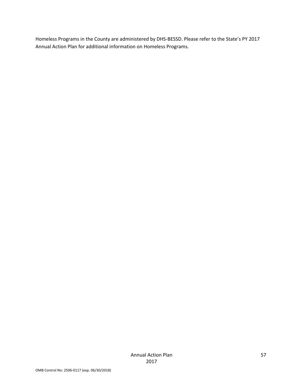Homeless Programs in the County are administered by DHS‐BESSD. Please refer to the State's PY 2017 Annual Action Plan for additional information on Homeless Programs.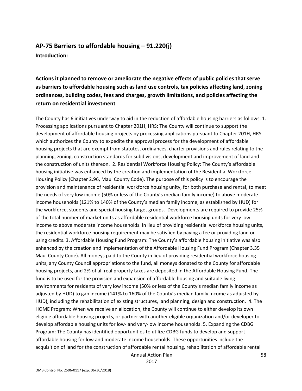# **AP‐75 Barriers to affordable housing – 91.220(j) Introduction:**

**Actions it planned to remove or ameliorate the negative effects of public policies that serve as barriers to affordable housing such as land use controls, tax policies affecting land, zoning ordinances, building codes, fees and charges, growth limitations, and policies affecting the return on residential investment**

The County has 6 initiatives underway to aid in the reduction of affordable housing barriers as follows: 1. Processing applications pursuant to Chapter 201H, HRS: The County will continue to support the development of affordable housing projects by processing applications pursuant to Chapter 201H, HRS which authorizes the County to expedite the approval process for the development of affordable housing projects that are exempt from statutes, ordinances, charter provisions and rules relating to the planning, zoning, construction standards for subdivisions, development and improvement of land and the construction of units thereon. 2. Residential Workforce Housing Policy: The County's affordable housing initiative was enhanced by the creation and implementation of the Residential Workforce Housing Policy (Chapter 2.96, Maui County Code). The purpose of this policy is to encourage the provision and maintenance of residential workforce housing unity, for both purchase and rental, to meet the needs of very low income (50% or less of the County's median family income) to above moderate income households (121% to 140% of the County's median family income, as established by HUD) for the workforce, students and special housing target groups. Developments are required to provide 25% of the total number of market units as affordable residential workforce housing units for very low income to above moderate income households. In lieu of providing residential workforce housing units, the residential workforce housing requirement may be satisfied by paying a fee or providing land or using credits. 3. Affordable Housing Fund Program: The County's affordable housing initiative was also enhanced by the creation and implementation of the Affordable Housing Fund Program (Chapter 3.35 Maui County Code). All moneys paid to the County in lieu of providing residential workforce housing units, any County Council appropriations to the fund, all moneys donated to the County for affordable housing projects, and 2% of all real property taxes are deposited in the Affordable Housing Fund. The fund is to be used for the provision and expansion of affordable housing and suitable living environments for residents of very low income (50% or less of the County's median family income as adjusted by HUD) to gap income (141% to 160% of the County's median family income as adjusted by HUD), including the rehabilitation of existing structures, land planning, design and construction. 4. The HOME Program: When we receive an allocation, the County will continue to either develop its own eligible affordable housing projects, or partner with another eligible organization and/or developer to develop affordable housing units for low‐ and very‐low income households. 5. Expanding the CDBG Program: The County has identified opportunities to utilize CDBG funds to develop and support affordable housing for low and moderate income households. These opportunities include the acquisition of land for the construction of affordable rental housing, rehabilitation of affordable rental

Annual Action Plan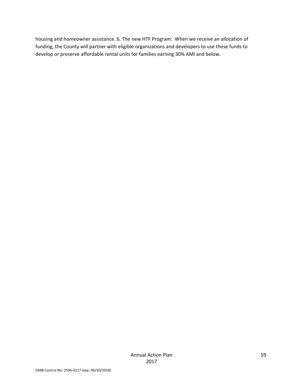housing and homeowner assistance. 6. The new HTF Program: When we receive an allocation of funding, the County will partner with eligible organizations and developers to use these funds to develop or preserve affordable rental units for families earning 30% AMI and below.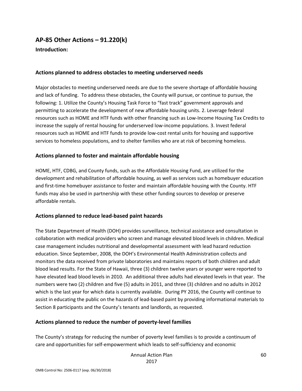# **AP‐85 Other Actions – 91.220(k)**

**Introduction:** 

### **Actions planned to address obstacles to meeting underserved needs**

Major obstacles to meeting underserved needs are due to the severe shortage of affordable housing and lack of funding. To address these obstacles, the County will pursue, or continue to pursue, the following: 1. Utilize the County's Housing Task Force to "fast track" government approvals and permitting to accelerate the development of new affordable housing units. 2. Leverage federal resources such as HOME and HTF funds with other financing such as Low‐Income Housing Tax Credits to increase the supply of rental housing for underserved low‐income populations. 3. Invest federal resources such as HOME and HTF funds to provide low‐cost rental units for housing and supportive services to homeless populations, and to shelter families who are at risk of becoming homeless.

### **Actions planned to foster and maintain affordable housing**

HOME, HTF, CDBG, and County funds, such as the Affordable Housing Fund, are utilized for the development and rehabilitation of affordable housing, as well as services such as homebuyer education and first-time homebuyer assistance to foster and maintain affordable housing with the County. HTF funds may also be used in partnership with these other funding sources to develop or preserve affordable rentals.

## **Actions planned to reduce lead‐based paint hazards**

The State Department of Health (DOH) provides surveillance, technical assistance and consultation in collaboration with medical providers who screen and manage elevated blood levels in children. Medical case management includes nutritional and developmental assessment with lead hazard reduction education. Since September, 2008, the DOH's Environmental Health Administration collects and monitors the data received from private laboratories and maintains reports of both children and adult blood lead results. For the State of Hawaii, three (3) children twelve years or younger were reported to have elevated lead blood levels in 2010. An additional three adults had elevated levels in that year. The numbers were two (2) children and five (5) adults in 2011, and three (3) children and no adults in 2012 which is the last year for which data is currently available. During PY 2016, the County will continue to assist in educating the public on the hazards of lead‐based paint by providing informational materials to Section 8 participants and the County's tenants and landlords, as requested.

## **Actions planned to reduce the number of poverty‐level families**

The County's strategy for reducing the number of poverty level families is to provide a continuum of care and opportunities for self‐empowerment which leads to self‐sufficiency and economic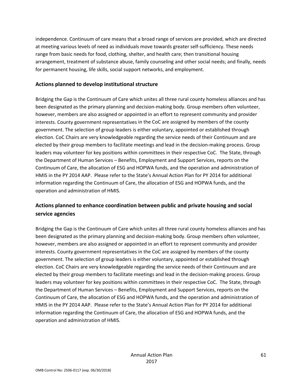independence. Continuum of care means that a broad range of services are provided, which are directed at meeting various levels of need as individuals move towards greater self‐sufficiency. These needs range from basic needs for food, clothing, shelter, and health care; then transitional housing arrangement, treatment of substance abuse, family counseling and other social needs; and finally, needs for permanent housing, life skills, social support networks, and employment.

### **Actions planned to develop institutional structure**

Bridging the Gap is the Continuum of Care which unites all three rural county homeless alliances and has been designated as the primary planning and decision‐making body. Group members often volunteer, however, members are also assigned or appointed in an effort to represent community and provider interests. County government representatives in the CoC are assigned by members of the county government. The selection of group leaders is either voluntary, appointed or established through election. CoC Chairs are very knowledgeable regarding the service needs of their Continuum and are elected by their group members to facilitate meetings and lead in the decision-making process. Group leaders may volunteer for key positions within committees in their respective CoC. The State, through the Department of Human Services – Benefits, Employment and Support Services, reports on the Continuum of Care, the allocation of ESG and HOPWA funds, and the operation and administration of HMIS in the PY 2014 AAP. Please refer to the State's Annual Action Plan for PY 2014 for additional information regarding the Continuum of Care, the allocation of ESG and HOPWA funds, and the operation and administration of HMIS.

# **Actions planned to enhance coordination between public and private housing and social service agencies**

Bridging the Gap is the Continuum of Care which unites all three rural county homeless alliances and has been designated as the primary planning and decision-making body. Group members often volunteer, however, members are also assigned or appointed in an effort to represent community and provider interests. County government representatives in the CoC are assigned by members of the county government. The selection of group leaders is either voluntary, appointed or established through election. CoC Chairs are very knowledgeable regarding the service needs of their Continuum and are elected by their group members to facilitate meetings and lead in the decision‐making process. Group leaders may volunteer for key positions within committees in their respective CoC. The State, through the Department of Human Services – Benefits, Employment and Support Services, reports on the Continuum of Care, the allocation of ESG and HOPWA funds, and the operation and administration of HMIS in the PY 2014 AAP. Please refer to the State's Annual Action Plan for PY 2014 for additional information regarding the Continuum of Care, the allocation of ESG and HOPWA funds, and the operation and administration of HMIS.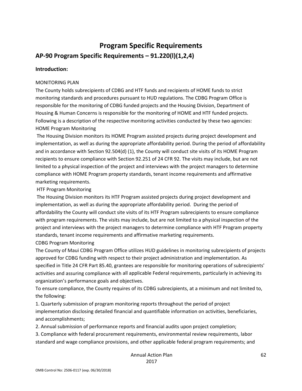# **Program Specific Requirements AP‐90 Program Specific Requirements – 91.220(l)(1,2,4)**

#### **Introduction:**

#### MONITORING PLAN

The County holds subrecipients of CDBG and HTF funds and recipients of HOME funds to strict monitoring standards and procedures pursuant to HUD regulations. The CDBG Program Office is responsible for the monitoring of CDBG funded projects and the Housing Division, Department of Housing & Human Concerns is responsible for the monitoring of HOME and HTF funded projects. Following is a description of the respective monitoring activities conducted by these two agencies: HOME Program Monitoring

The Housing Division monitors its HOME Program assisted projects during project development and implementation, as well as during the appropriate affordability period. During the period of affordability and in accordance with Section 92.504(d) (1), the County will conduct site visits of its HOME Program recipients to ensure compliance with Section 92.251 of 24 CFR 92. The visits may include, but are not limited to a physical inspection of the project and interviews with the project managers to determine compliance with HOME Program property standards, tenant income requirements and affirmative marketing requirements.

### HTF Program Monitoring

The Housing Division monitors its HTF Program assisted projects during project development and implementation, as well as during the appropriate affordability period. During the period of affordability the County will conduct site visits of its HTF Program subrecipients to ensure compliance with program requirements. The visits may include, but are not limited to a physical inspection of the project and interviews with the project managers to determine compliance with HTF Program property standards, tenant income requirements and affirmative marketing requirements. CDBG Program Monitoring

The County of Maui CDBG Program Office utilizes HUD guidelines in monitoring subrecipients of projects approved for CDBG funding with respect to their project administration and implementation. As specified in Title 24 CFR Part 85.40, grantees are responsible for monitoring operations of subrecipients' activities and assuring compliance with all applicable Federal requirements, particularly in achieving its organization's performance goals and objectives.

To ensure compliance, the County requires of its CDBG subrecipients, at a minimum and not limited to, the following:

1. Quarterly submission of program monitoring reports throughout the period of project implementation disclosing detailed financial and quantifiable information on activities, beneficiaries, and accomplishments;

2. Annual submission of performance reports and financial audits upon project completion;

3. Compliance with federal procurement requirements, environmental review requirements, labor standard and wage compliance provisions, and other applicable federal program requirements; and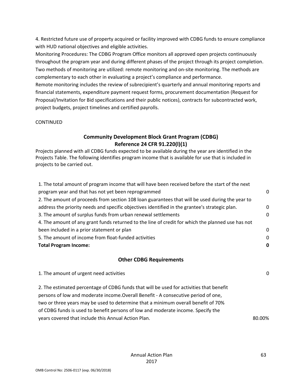4. Restricted future use of property acquired or facility improved with CDBG funds to ensure compliance with HUD national objectives and eligible activities.

Monitoring Procedures: The CDBG Program Office monitors all approved open projects continuously throughout the program year and during different phases of the project through its project completion. Two methods of monitoring are utilized: remote monitoring and on‐site monitoring. The methods are complementary to each other in evaluating a project's compliance and performance.

Remote monitoring includes the review of subrecipient's quarterly and annual monitoring reports and financial statements, expenditure payment request forms, procurement documentation (Request for Proposal/Invitation for Bid specifications and their public notices), contracts for subcontracted work, project budgets, project timelines and certified payrolls.

#### CONTINUED

## **Community Development Block Grant Program (CDBG) Reference 24 CFR 91.220(l)(1)**

Projects planned with all CDBG funds expected to be available during the year are identified in the Projects Table. The following identifies program income that is available for use that is included in projects to be carried out.

| 1. The total amount of program income that will have been received before the start of the next   |             |
|---------------------------------------------------------------------------------------------------|-------------|
| program year and that has not yet been reprogrammed                                               | 0           |
| 2. The amount of proceeds from section 108 loan guarantees that will be used during the year to   |             |
| address the priority needs and specific objectives identified in the grantee's strategic plan.    | $\mathbf 0$ |
| 3. The amount of surplus funds from urban renewal settlements                                     | 0           |
| 4. The amount of any grant funds returned to the line of credit for which the planned use has not |             |
| been included in a prior statement or plan                                                        | 0           |
| 5. The amount of income from float-funded activities                                              | 0           |
| <b>Total Program Income:</b>                                                                      | 0           |
|                                                                                                   |             |
| <b>Other CDBG Requirements</b>                                                                    |             |
| 1. The amount of urgent need activities                                                           | 0           |
| 2. The estimated percentage of CDBG funds that will be used for activities that benefit           |             |
| persons of low and moderate income. Overall Benefit - A consecutive period of one,                |             |
| two or three years may be used to determine that a minimum overall benefit of 70%                 |             |
| of CDBG funds is used to benefit persons of low and moderate income. Specify the                  |             |

years covered that include this Annual Action Plan. The control of the state of the state of the state of the state of the state of the state of the state of the state of the state of the state of the state of the state of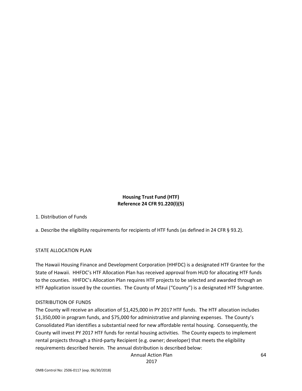## **Housing Trust Fund (HTF) Reference 24 CFR 91.220(l)(5)**

## 1. Distribution of Funds

a. Describe the eligibility requirements for recipients of HTF funds (as defined in 24 CFR § 93.2).

#### STATE ALLOCATION PLAN

The Hawaii Housing Finance and Development Corporation (HHFDC) is a designated HTF Grantee for the State of Hawaii. HHFDC's HTF Allocation Plan has received approval from HUD for allocating HTF funds to the counties. HHFDC's Allocation Plan requires HTF projects to be selected and awarded through an HTF Application issued by the counties. The County of Maui ("County") is a designated HTF Subgrantee.

#### DISTRIBUTION OF FUNDS

The County will receive an allocation of \$1,425,000 in PY 2017 HTF funds. The HTF allocation includes \$1,350,000 in program funds, and \$75,000 for administrative and planning expenses. The County's Consolidated Plan identifies a substantial need for new affordable rental housing. Consequently, the County will invest PY 2017 HTF funds for rental housing activities. The County expects to implement rental projects through a third-party Recipient (e.g. owner; developer) that meets the eligibility requirements described herein. The annual distribution is described below:

Annual Action Plan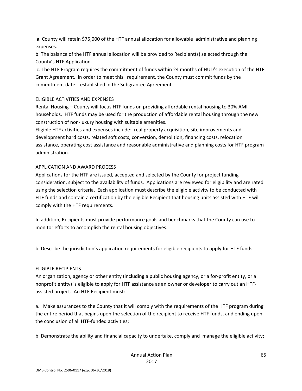a. County will retain \$75,000 of the HTF annual allocation for allowable administrative and planning expenses.

b. The balance of the HTF annual allocation will be provided to Recipient(s) selected through the County's HTF Application.

c. The HTF Program requires the commitment of funds within 24 months of HUD's execution of the HTF Grant Agreement. In order to meet this requirement, the County must commit funds by the commitment date established in the Subgrantee Agreement.

#### ELIGIBLE ACTIVITIES AND EXPENSES

Rental Housing – County will focus HTF funds on providing affordable rental housing to 30% AMI households. HTF funds may be used for the production of affordable rental housing through the new construction of non‐luxury housing with suitable amenities.

Eligible HTF activities and expenses include: real property acquisition, site improvements and development hard costs, related soft costs, conversion, demolition, financing costs, relocation assistance, operating cost assistance and reasonable administrative and planning costs for HTF program administration.

#### APPLICATION AND AWARD PROCESS

Applications for the HTF are issued, accepted and selected by the County for project funding consideration, subject to the availability of funds. Applications are reviewed for eligibility and are rated using the selection criteria. Each application must describe the eligible activity to be conducted with HTF funds and contain a certification by the eligible Recipient that housing units assisted with HTF will comply with the HTF requirements.

In addition, Recipients must provide performance goals and benchmarks that the County can use to monitor efforts to accomplish the rental housing objectives.

b. Describe the jurisdiction's application requirements for eligible recipients to apply for HTF funds.

#### ELIGIBLE RECIPIENTS

An organization, agency or other entity (including a public housing agency, or a for‐profit entity, or a nonprofit entity) is eligible to apply for HTF assistance as an owner or developer to carry out an HTF‐ assisted project. An HTF Recipient must:

a. Make assurances to the County that it will comply with the requirements of the HTF program during the entire period that begins upon the selection of the recipient to receive HTF funds, and ending upon the conclusion of all HTF‐funded activities;

b. Demonstrate the ability and financial capacity to undertake, comply and manage the eligible activity;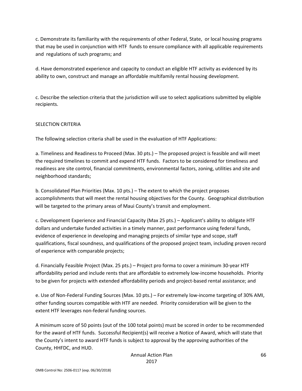c. Demonstrate its familiarity with the requirements of other Federal, State, or local housing programs that may be used in conjunction with HTF funds to ensure compliance with all applicable requirements and regulations of such programs; and

d. Have demonstrated experience and capacity to conduct an eligible HTF activity as evidenced by its ability to own, construct and manage an affordable multifamily rental housing development.

c. Describe the selection criteria that the jurisdiction will use to select applications submitted by eligible recipients.

#### SELECTION CRITERIA

The following selection criteria shall be used in the evaluation of HTF Applications:

a. Timeliness and Readiness to Proceed (Max. 30 pts.) – The proposed project is feasible and will meet the required timelines to commit and expend HTF funds. Factors to be considered for timeliness and readiness are site control, financial commitments, environmental factors, zoning, utilities and site and neighborhood standards;

b. Consolidated Plan Priorities (Max. 10 pts.) – The extent to which the project proposes accomplishments that will meet the rental housing objectives for the County. Geographical distribution will be targeted to the primary areas of Maui County's transit and employment.

c. Development Experience and Financial Capacity (Max 25 pts.) – Applicant's ability to obligate HTF dollars and undertake funded activities in a timely manner, past performance using federal funds, evidence of experience in developing and managing projects of similar type and scope, staff qualifications, fiscal soundness, and qualifications of the proposed project team, including proven record of experience with comparable projects;

d. Financially Feasible Project (Max. 25 pts.) – Project pro forma to cover a minimum 30‐year HTF affordability period and include rents that are affordable to extremely low‐income households. Priority to be given for projects with extended affordability periods and project‐based rental assistance; and

e. Use of Non‐Federal Funding Sources (Max. 10 pts.) – For extremely low‐income targeting of 30% AMI, other funding sources compatible with HTF are needed. Priority consideration will be given to the extent HTF leverages non‐federal funding sources.

A minimum score of 50 points (out of the 100 total points) must be scored in order to be recommended for the award of HTF funds. Successful Recipient(s) will receive a Notice of Award, which will state that the County's intent to award HTF funds is subject to approval by the approving authorities of the County, HHFDC, and HUD.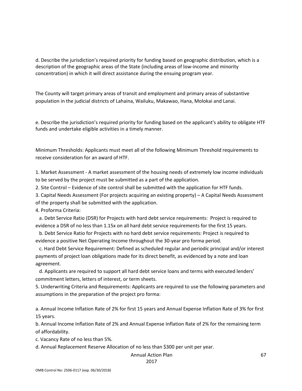d. Describe the jurisdiction's required priority for funding based on geographic distribution, which is a description of the geographic areas of the State (including areas of low‐income and minority concentration) in which it will direct assistance during the ensuing program year.

The County will target primary areas of transit and employment and primary areas of substantive population in the judicial districts of Lahaina, Wailuku, Makawao, Hana, Molokai and Lanai.

e. Describe the jurisdiction's required priority for funding based on the applicant's ability to obligate HTF funds and undertake eligible activities in a timely manner.

Minimum Thresholds: Applicants must meet all of the following Minimum Threshold requirements to receive consideration for an award of HTF.

1. Market Assessment ‐ A market assessment of the housing needs of extremely low income individuals to be served by the project must be submitted as a part of the application.

2. Site Control – Evidence of site control shall be submitted with the application for HTF funds.

3. Capital Needs Assessment (For projects acquiring an existing property) – A Capital Needs Assessment

of the property shall be submitted with the application.

4. Proforma Criteria:

 a. Debt Service Ratio (DSR) for Projects with hard debt service requirements: Project is required to evidence a DSR of no less than 1.15x on all hard debt service requirements for the first 15 years.

 b. Debt Service Ratio for Projects with no hard debt service requirements: Project is required to evidence a positive Net Operating Income throughout the 30‐year pro forma period.

 c. Hard Debt Service Requirement: Defined as scheduled regular and periodic principal and/or interest payments of project loan obligations made for its direct benefit, as evidenced by a note and loan agreement.

 d. Applicants are required to support all hard debt service loans and terms with executed lenders' commitment letters, letters of interest, or term sheets.

5. Underwriting Criteria and Requirements: Applicants are required to use the following parameters and assumptions in the preparation of the project pro forma:

a. Annual Income Inflation Rate of 2% for first 15 years and Annual Expense Inflation Rate of 3% for first 15 years.

b. Annual Income Inflation Rate of 2% and Annual Expense Inflation Rate of 2% for the remaining term of affordability.

c. Vacancy Rate of no less than 5%.

d. Annual Replacement Reserve Allocation of no less than \$300 per unit per year.

#### Annual Action Plan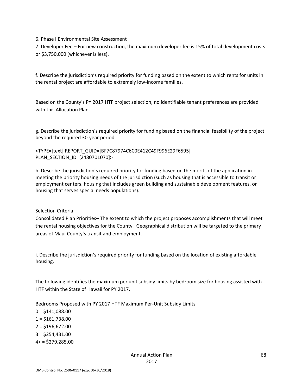6. Phase I Environmental Site Assessment

7. Developer Fee – For new construction, the maximum developer fee is 15% of total development costs or \$3,750,000 (whichever is less).

f. Describe the jurisdiction's required priority for funding based on the extent to which rents for units in the rental project are affordable to extremely low‐income families.

Based on the County's PY 2017 HTF project selection, no identifiable tenant preferences are provided with this Allocation Plan.

g. Describe the jurisdiction's required priority for funding based on the financial feasibility of the project beyond the required 30‐year period.

<TYPE=[text] REPORT\_GUID=[BF7C87974C6C0E412C49F996E29F6595] PLAN\_SECTION\_ID=[2480701070]>

h. Describe the jurisdiction's required priority for funding based on the merits of the application in meeting the priority housing needs of the jurisdiction (such as housing that is accessible to transit or employment centers, housing that includes green building and sustainable development features, or housing that serves special needs populations).

Selection Criteria:

Consolidated Plan Priorities– The extent to which the project proposes accomplishments that will meet the rental housing objectives for the County. Geographical distribution will be targeted to the primary areas of Maui County's transit and employment.

i. Describe the jurisdiction's required priority for funding based on the location of existing affordable housing.

The following identifies the maximum per unit subsidy limits by bedroom size for housing assisted with HTF within the State of Hawaii for PY 2017.

Bedrooms Proposed with PY 2017 HTF Maximum Per‐Unit Subsidy Limits

 $0 = $141,088.00$  $1 = $161,738.00$  $2 = $196,672.00$  $3 = $254,431.00$  $4+$  = \$279,285.00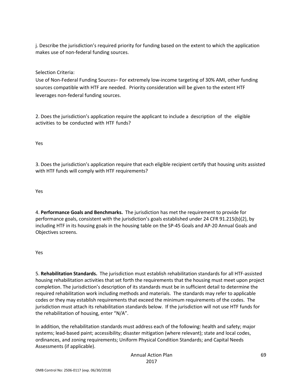j. Describe the jurisdiction's required priority for funding based on the extent to which the application makes use of non‐federal funding sources.

Selection Criteria:

Use of Non‐Federal Funding Sources– For extremely low‐income targeting of 30% AMI, other funding sources compatible with HTF are needed. Priority consideration will be given to the extent HTF leverages non‐federal funding sources.

2. Does the jurisdiction's application require the applicant to include a description of the eligible activities to be conducted with HTF funds?

Yes

3. Does the jurisdiction's application require that each eligible recipient certify that housing units assisted with HTF funds will comply with HTF requirements?

Yes

4. **Performance Goals and Benchmarks.** The jurisdiction has met the requirement to provide for performance goals, consistent with the jurisdiction's goals established under 24 CFR 91.215(b)(2), by including HTF in its housing goals in the housing table on the SP‐45 Goals and AP‐20 Annual Goals and Objectives screens.

Yes

5. **Rehabilitation Standards.** The jurisdiction must establish rehabilitation standards for all HTF‐assisted housing rehabilitation activities that set forth the requirements that the housing must meet upon project completion. The jurisdiction's description of its standards must be in sufficient detail to determine the required rehabilitation work including methods and materials. The standards may refer to applicable codes or they may establish requirements that exceed the minimum requirements of the codes. The jurisdiction must attach its rehabilitation standards below. If the jurisdiction will not use HTF funds for the rehabilitation of housing, enter "N/A".

In addition, the rehabilitation standards must address each of the following: health and safety; major systems; lead‐based paint; accessibility; disaster mitigation (where relevant); state and local codes, ordinances, and zoning requirements; Uniform Physical Condition Standards; and Capital Needs Assessments (if applicable).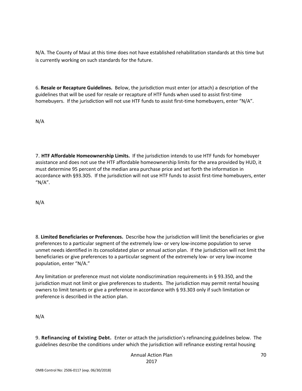N/A. The County of Maui at this time does not have established rehabilitation standards at this time but is currently working on such standards for the future.

6. **Resale or Recapture Guidelines.** Below, the jurisdiction must enter (or attach) a description of the guidelines that will be used for resale or recapture of HTF funds when used to assist first‐time homebuyers. If the jurisdiction will not use HTF funds to assist first-time homebuyers, enter "N/A".

N/A

7. **HTF Affordable Homeownership Limits.** If the jurisdiction intends to use HTF funds for homebuyer assistance and does not use the HTF affordable homeownership limits for the area provided by HUD, it must determine 95 percent of the median area purchase price and set forth the information in accordance with §93.305. If the jurisdiction will not use HTF funds to assist first-time homebuyers, enter " $N/A$ ".

N/A

8. **Limited Beneficiaries or Preferences.** Describe how the jurisdiction will limit the beneficiaries or give preferences to a particular segment of the extremely low‐ or very low‐income population to serve unmet needs identified in its consolidated plan or annual action plan. If the jurisdiction will not limit the beneficiaries or give preferences to a particular segment of the extremely low- or very low-income population, enter "N/A."

Any limitation or preference must not violate nondiscrimination requirements in § 93.350, and the jurisdiction must not limit or give preferences to students. The jurisdiction may permit rental housing owners to limit tenants or give a preference in accordance with § 93.303 only if such limitation or preference is described in the action plan.

N/A

9. **Refinancing of Existing Debt.** Enter or attach the jurisdiction's refinancing guidelines below. The guidelines describe the conditions under which the jurisdiction will refinance existing rental housing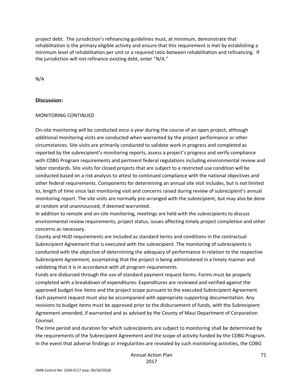project debt. The jurisdiction's refinancing guidelines must, at minimum, demonstrate that rehabilitation is the primary eligible activity and ensure that this requirement is met by establishing a minimum level of rehabilitation per unit or a required ratio between rehabilitation and refinancing. If the jurisdiction will not refinance existing debt, enter "N/A."

N/A

#### **Discussion:**

#### MONITORING CONTINUED

On‐site monitoring will be conducted once a year during the course of an open project; although additional monitoring visits are conducted when warranted by the project performance or other circumstances. Site visits are primarily conducted to validate work in progress and completed as reported by the subrecipient's monitoring reports, assess a project's progress and verify compliance with CDBG Program requirements and pertinent federal regulations including environmental review and labor standards. Site visits for closed projects that are subject to a restricted use condition will be conducted based on a risk analysis to attest to continued compliance with the national objectives and other federal requirements. Components for determining an annual site visit includes, but is not limited to, length of time since last monitoring visit and concerns raised during review of subrecipient's annual monitoring report. The site visits are normally pre‐arranged with the subrecipient, but may also be done at random and unannounced, if deemed warranted.

In addition to remote and on‐site monitoring, meetings are held with the subrecipients to discuss environmental review requirements, project status, issues affecting timely project completion and other concerns as necessary.

County and HUD requirements are included as standard terms and conditions in the contractual Subrecipient Agreement that is executed with the subrecipient. The monitoring of subrecipients is conducted with the objective of determining the adequacy of performance in relation to the respective Subrecipient Agreement, ascertaining that the project is being administered in a timely manner and validating that it is in accordance with all program requirements.

Funds are disbursed through the use of standard payment request forms. Forms must be properly completed with a breakdown of expenditures. Expenditures are reviewed and verified against the approved budget line items and the project scope pursuant to the executed Subrecipient Agreement. Each payment request must also be accompanied with appropriate supporting documentation. Any revisions to budget items must be approved prior to the disbursement of funds, with the Subrecipient Agreement amended, if warranted and as advised by the County of Maui Department of Corporation Counsel.

The time period and duration for which subrecipients are subject to monitoring shall be determined by the requirements of the Subrecipient Agreement and the scope of activity funded by the CDBG Program. In the event that adverse findings or irregularities are revealed by such monitoring activities, the CDBG